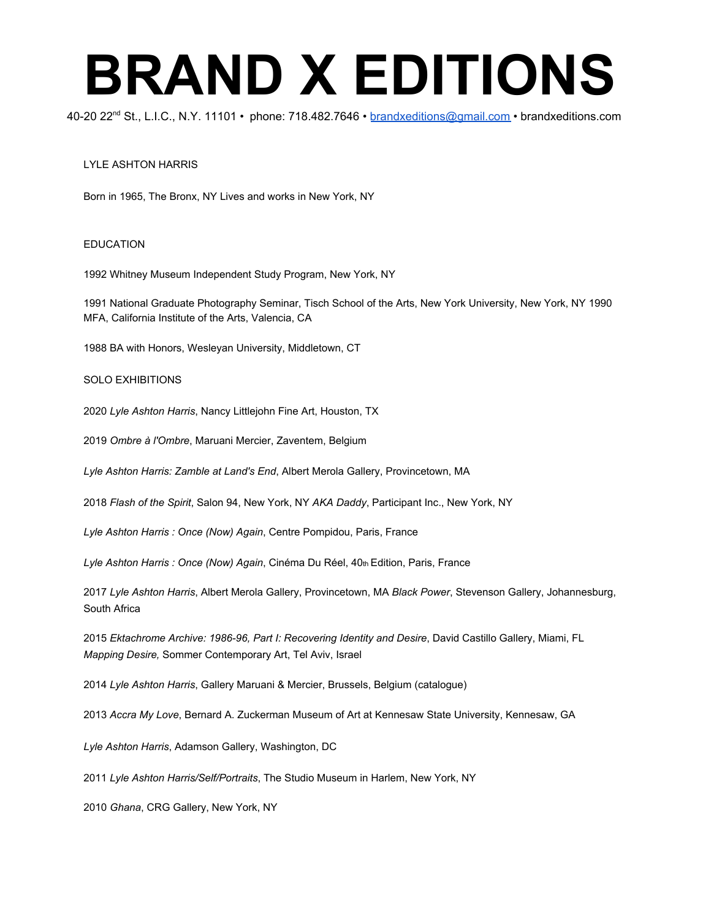40-20 22<sup>nd</sup> St., L.I.C., N.Y. 11101 • phone: 718.482.7646 • <u>[brandxeditions@gmail.com](mailto:brandxeditions@gmail.com)</u> • brandxeditions.com

#### LYLE ASHTON HARRIS

Born in 1965, The Bronx, NY Lives and works in New York, NY

#### EDUCATION

1992 Whitney Museum Independent Study Program, New York, NY

1991 National Graduate Photography Seminar, Tisch School of the Arts, New York University, New York, NY 1990 MFA, California Institute of the Arts, Valencia, CA

1988 BA with Honors, Wesleyan University, Middletown, CT

#### SOLO EXHIBITIONS

2020 *Lyle Ashton Harris*, Nancy Littlejohn Fine Art, Houston, TX

2019 *Ombre à l'Ombre* , Maruani Mercier, Zaventem, Belgium

*Lyle Ashton Harris: Zamble at Land's End*, Albert Merola Gallery, Provincetown, MA

2018 *Flash of the Spirit*, Salon 94, New York, NY *AKA Daddy*, Participant Inc., New York, NY

*Lyle Ashton Harris : Once (Now) Again*, Centre Pompidou, Paris, France

Lyle Ashton Harris : Once (Now) Again, Cinéma Du Réel, 40th Edition, Paris, France

2017 *Lyle Ashton Harris*, Albert Merola Gallery, Provincetown, MA *Black Power*, Stevenson Gallery, Johannesburg, South Africa

2015 *Ektachrome Archive: 1986-96, Part I: Recovering Identity and Desire*, David Castillo Gallery, Miami, FL *Mapping Desire,* Sommer Contemporary Art, Tel Aviv, Israel

2014 *Lyle Ashton Harris*, Gallery Maruani & Mercier, Brussels, Belgium (catalogue)

2013 *Accra My Love*, Bernard A. Zuckerman Museum of Art at Kennesaw State University, Kennesaw, GA

*Lyle Ashton Harris*, Adamson Gallery, Washington, DC

2011 *Lyle Ashton Harris/Self/Portraits*, The Studio Museum in Harlem, New York, NY

2010 *Ghana*, CRG Gallery, New York, NY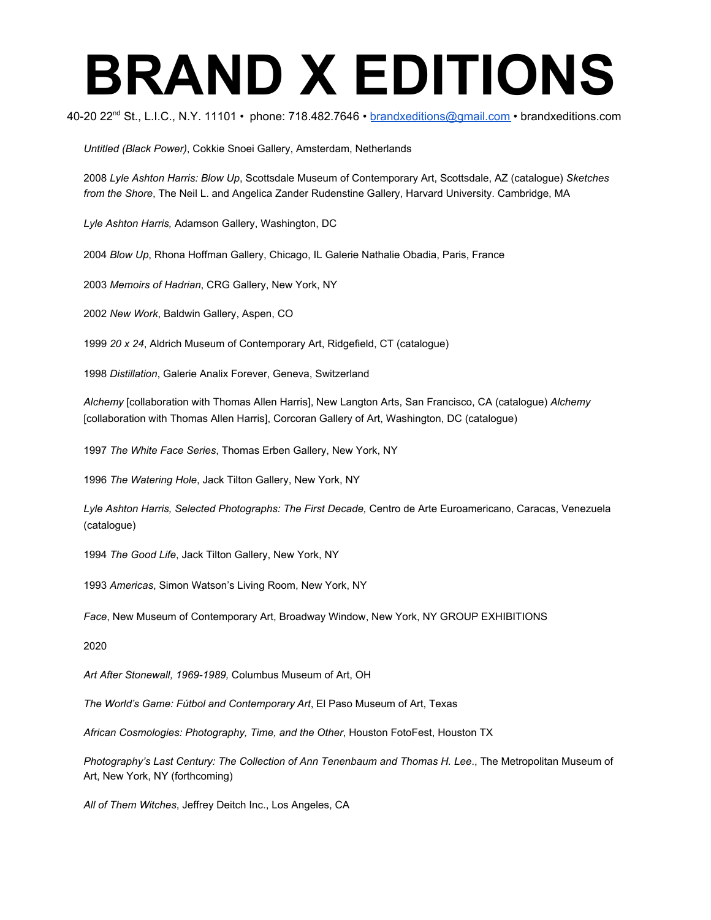40-20 22<sup>nd</sup> St., L.I.C., N.Y. 11101 • phone: 718.482.7646 • <u>[brandxeditions@gmail.com](mailto:brandxeditions@gmail.com)</u> • brandxeditions.com

*Untitled (Black Power)*, Cokkie Snoei Gallery, Amsterdam, Netherlands

2008 *Lyle Ashton Harris: Blow Up*, Scottsdale Museum of Contemporary Art, Scottsdale, AZ (catalogue) *Sketches from the Shore*, The Neil L. and Angelica Zander Rudenstine Gallery, Harvard University. Cambridge, MA

*Lyle Ashton Harris,* Adamson Gallery, Washington, DC

2004 *Blow Up*, Rhona Hoffman Gallery, Chicago, IL Galerie Nathalie Obadia, Paris, France

2003 *Memoirs of Hadrian*, CRG Gallery, New York, NY

2002 *New Work*, Baldwin Gallery, Aspen, CO

1999 *20 x 24*, Aldrich Museum of Contemporary Art, Ridgefield, CT (catalogue)

1998 *Distillation*, Galerie Analix Forever, Geneva, Switzerland

*Alchemy* [collaboration with Thomas Allen Harris], New Langton Arts, San Francisco, CA (catalogue) *Alchemy* [collaboration with Thomas Allen Harris], Corcoran Gallery of Art, Washington, DC (catalogue)

1997 *The White Face Series*, Thomas Erben Gallery, New York, NY

1996 *The Watering Hole*, Jack Tilton Gallery, New York, NY

*Lyle Ashton Harris, Selected Photographs: The First Decade,* Centro de Arte Euroamericano, Caracas, Venezuela (catalogue)

1994 *The Good Life*, Jack Tilton Gallery, New York, NY

1993 *Americas*, Simon Watson's Living Room, New York, NY

*Face*, New Museum of Contemporary Art, Broadway Window, New York, NY GROUP EXHIBITIONS

2020

*Art After Stonewall, 1969-1989,* Columbus Museum of Art, OH

*The World's Game: Fútbol and Contemporary Art* , El Paso Museum of Art, Texas

*African Cosmologies: Photography, Time, and the Other*, Houston FotoFest, Houston TX

*Photography's Last Century: The Collection of Ann Tenenbaum and Thomas H. Lee*., The Metropolitan Museum of Art, New York, NY (forthcoming)

*All of Them Witches*, Jeffrey Deitch Inc., Los Angeles, CA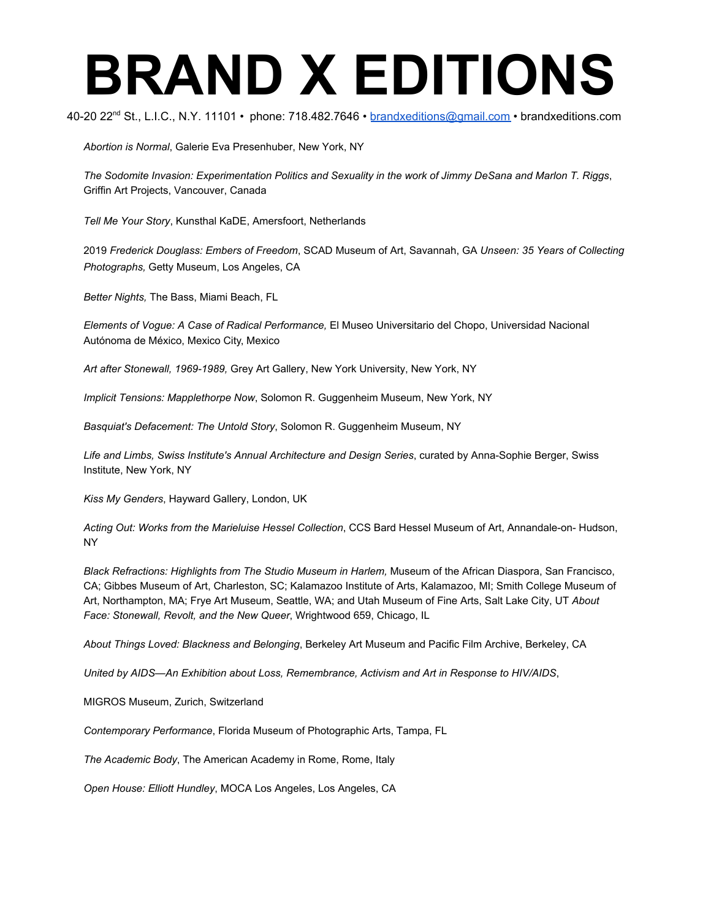40-20 22<sup>nd</sup> St., L.I.C., N.Y. 11101 • phone: 718.482.7646 • <u>[brandxeditions@gmail.com](mailto:brandxeditions@gmail.com)</u> • brandxeditions.com

*Abortion is Normal*, Galerie Eva Presenhuber, New York, NY

*The Sodomite Invasion: Experimentation Politics and Sexuality in the work of Jimmy DeSana and Marlon T. Riggs*, Griffin Art Projects, Vancouver, Canada

*Tell Me Your Story*, Kunsthal KaDE, Amersfoort, Netherlands

2019 *Frederick Douglass: Embers of Freedom*, SCAD Museum of Art, Savannah, GA *Unseen: 35 Years of Collecting Photographs,* Getty Museum, Los Angeles, CA

*Better Nights,* The Bass, Miami Beach, FL

*Elements of Vogue: A Case of Radical Performance,* El Museo Universitario del Chopo, Universidad Nacional Autónoma de México, Mexico City, Mexico

*Art after Stonewall, 1969-1989,* Grey Art Gallery, New York University, New York, NY

*Implicit Tensions: Mapplethorpe Now*, Solomon R. Guggenheim Museum, New York, NY

*Basquiat's Defacement: The Untold Story*, Solomon R. Guggenheim Museum, NY

*Life and Limbs, Swiss Institute's Annual Architecture and Design Series*, curated by Anna-Sophie Berger, Swiss Institute, New York, NY

*Kiss My Genders*, Hayward Gallery, London, UK

*Acting Out: Works from the Marieluise Hessel Collection*, CCS Bard Hessel Museum of Art, Annandale-on- Hudson, NY

*Black Refractions: Highlights from The Studio Museum in Harlem,* Museum of the African Diaspora, San Francisco, CA; Gibbes Museum of Art, Charleston, SC; Kalamazoo Institute of Arts, Kalamazoo, MI; Smith College Museum of Art, Northampton, MA; Frye Art Museum, Seattle, WA; and Utah Museum of Fine Arts, Salt Lake City, UT *About Face: Stonewall, Revolt, and the New Queer*, Wrightwood 659, Chicago, IL

*About Things Loved: Blackness and Belonging*, Berkeley Art Museum and Pacific Film Archive, Berkeley, CA

*United by AIDS—An Exhibition about Loss, Remembrance, Activism and Art in Response to HIV/AIDS*,

MIGROS Museum, Zurich, Switzerland

*Contemporary Performance*, Florida Museum of Photographic Arts, Tampa, FL

*The Academic Body*, The American Academy in Rome, Rome, Italy

*Open House: Elliott Hundley*, MOCA Los Angeles, Los Angeles, CA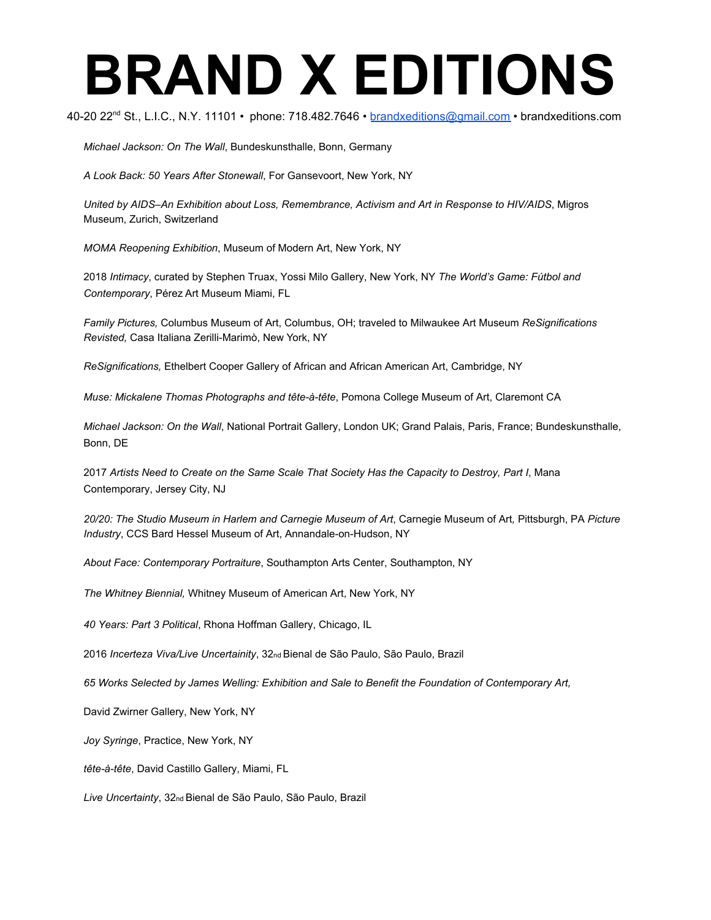40-20 22<sup>nd</sup> St., L.I.C., N.Y. 11101 • phone: 718.482.7646 • <u>[brandxeditions@gmail.com](mailto:brandxeditions@gmail.com)</u> • brandxeditions.com

*Michael Jackson: On The Wall*, Bundeskunsthalle, Bonn, Germany

*A Look Back: 50 Years After Stonewall*, For Gansevoort, New York, NY

*United by AIDS–An Exhibition about Loss, Remembrance, Activism and Art in Response to HIV/AIDS*, Migros Museum, Zurich, Switzerland

*MOMA Reopening Exhibition*, Museum of Modern Art, New York, NY

2018 *Intimacy*, curated by Stephen Truax, Yossi Milo Gallery, New York, NY *The World's Game: Fútbol and Contemporary*, Pérez Art Museum Miami, FL

*Family Pictures,* Columbus Museum of Art, Columbus, OH; traveled to Milwaukee Art Museum *ReSignifications Revisted,* Casa Italiana Zerilli-Marimò, New York, NY

*ReSignifications,* Ethelbert Cooper Gallery of African and African American Art, Cambridge, NY

*Muse: Mickalene Thomas Photographs and tête-à-tête* , Pomona College Museum of Art, Claremont CA

*Michael Jackson: On the Wall*, National Portrait Gallery, London UK; Grand Palais, Paris, France; Bundeskunsthalle, Bonn, DE

2017 *Artists Need to Create on the Same Scale That Society Has the Capacity to Destroy, Part I*, Mana Contemporary, Jersey City, NJ

*20/20: The Studio Museum in Harlem and Carnegie Museum of Art*, Carnegie Museum of Art*,* Pittsburgh, PA *Picture Industry*, CCS Bard Hessel Museum of Art, Annandale-on-Hudson, NY

*About Face: Contemporary Portraiture*, Southampton Arts Center, Southampton, NY

*The Whitney Biennial,* Whitney Museum of American Art, New York, NY

*40 Years: Part 3 Political*, Rhona Hoffman Gallery, Chicago, IL

2016 *Incerteza Viva/Live Uncertainity*, 32nd Bienal de São Paulo, São Paulo, Brazil

*65 Works Selected by James Welling: Exhibition and Sale to Benefit the Foundation of Contemporary Art,*

David Zwirner Gallery, New York, NY

*Joy Syringe*, Practice, New York, NY

*tête-à-tête* , David Castillo Gallery, Miami, FL

*Live Uncertainty*, 32nd Bienal de São Paulo, São Paulo, Brazil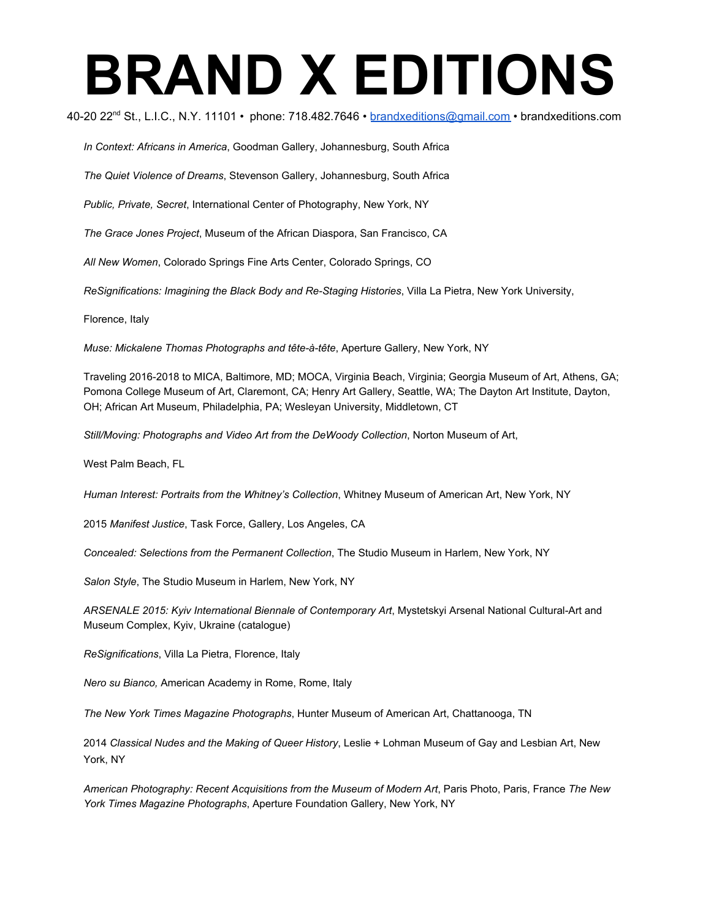40-20 22<sup>nd</sup> St., L.I.C., N.Y. 11101 • phone: 718.482.7646 • <u>[brandxeditions@gmail.com](mailto:brandxeditions@gmail.com)</u> • brandxeditions.com

*In Context: Africans in America*, Goodman Gallery, Johannesburg, South Africa

*The Quiet Violence of Dreams*, Stevenson Gallery, Johannesburg, South Africa

*Public, Private, Secret*, International Center of Photography, New York, NY

*The Grace Jones Project*, Museum of the African Diaspora, San Francisco, CA

*All New Women*, Colorado Springs Fine Arts Center, Colorado Springs, CO

*ReSignifications: Imagining the Black Body and Re-Staging Histories*, Villa La Pietra, New York University,

Florence, Italy

*Muse: Mickalene Thomas Photographs and tête-à-tête* , Aperture Gallery, New York, NY

Traveling 2016-2018 to MICA, Baltimore, MD; MOCA, Virginia Beach, Virginia; Georgia Museum of Art, Athens, GA; Pomona College Museum of Art, Claremont, CA; Henry Art Gallery, Seattle, WA; The Dayton Art Institute, Dayton, OH; African Art Museum, Philadelphia, PA; Wesleyan University, Middletown, CT

*Still/Moving: Photographs and Video Art from the DeWoody Collection*, Norton Museum of Art,

West Palm Beach, FL

*Human Interest: Portraits from the Whitney's Collection*, Whitney Museum of American Art, New York, NY

2015 *Manifest Justice*, Task Force, Gallery, Los Angeles, CA

*Concealed: Selections from the Permanent Collection*, The Studio Museum in Harlem, New York, NY

*Salon Style*, The Studio Museum in Harlem, New York, NY

*ARSENALE 2015: Kyiv International Biennale of Contemporary Art*, Mystetskyi Arsenal National Cultural-Art and Museum Complex, Kyiv, Ukraine (catalogue)

*ReSignifications*, Villa La Pietra, Florence, Italy

*Nero su Bianco,* American Academy in Rome, Rome, Italy

*The New York Times Magazine Photographs*, Hunter Museum of American Art, Chattanooga, TN

2014 *Classical Nudes and the Making of Queer History*, Leslie + Lohman Museum of Gay and Lesbian Art, New York, NY

*American Photography: Recent Acquisitions from the Museum of Modern Art*, Paris Photo, Paris, France *The New York Times Magazine Photographs*, Aperture Foundation Gallery, New York, NY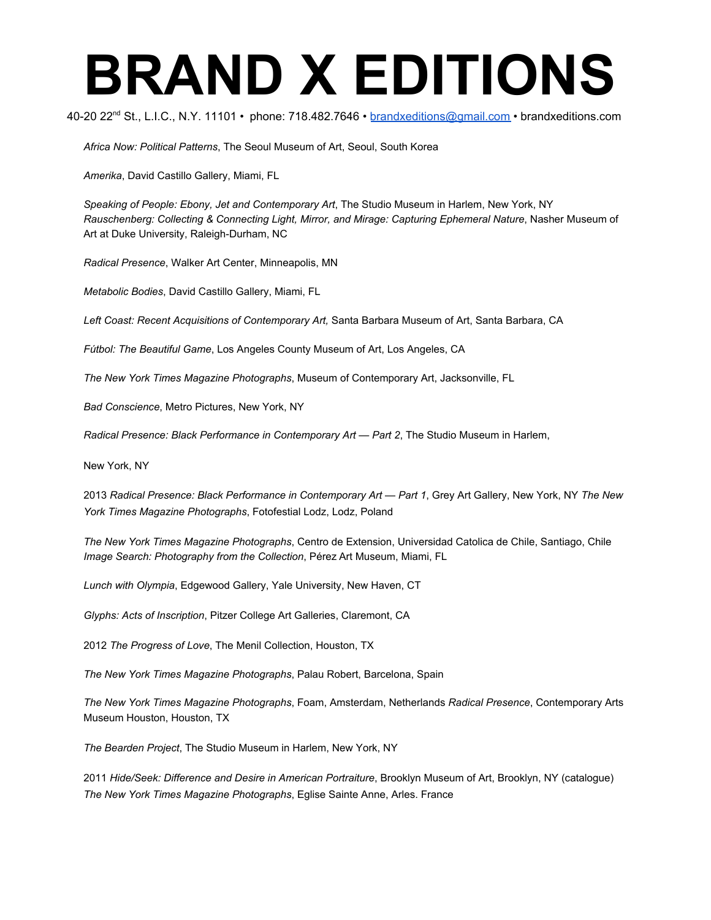40-20 22<sup>nd</sup> St., L.I.C., N.Y. 11101 • phone: 718.482.7646 • <u>[brandxeditions@gmail.com](mailto:brandxeditions@gmail.com)</u> • brandxeditions.com

*Africa Now: Political Patterns*, The Seoul Museum of Art, Seoul, South Korea

*Amerika*, David Castillo Gallery, Miami, FL

*Speaking of People: Ebony, Jet and Contemporary Art*, The Studio Museum in Harlem, New York, NY *Rauschenberg: Collecting & Connecting Light, Mirror, and Mirage: Capturing Ephemeral Nature*, Nasher Museum of Art at Duke University, Raleigh-Durham, NC

*Radical Presence*, Walker Art Center, Minneapolis, MN

*Metabolic Bodies*, David Castillo Gallery, Miami, FL

*Left Coast: Recent Acquisitions of Contemporary Art,* Santa Barbara Museum of Art, Santa Barbara, CA

*Fútbol: The Beautiful Game* , Los Angeles County Museum of Art, Los Angeles, CA

*The New York Times Magazine Photographs*, Museum of Contemporary Art, Jacksonville, FL

*Bad Conscience*, Metro Pictures, New York, NY

*Radical Presence: Black Performance in Contemporary Art — Part 2*, The Studio Museum in Harlem,

New York, NY

2013 *Radical Presence: Black Performance in Contemporary Art — Part 1*, Grey Art Gallery, New York, NY *The New York Times Magazine Photographs*, Fotofestial Lodz, Lodz, Poland

*The New York Times Magazine Photographs*, Centro de Extension, Universidad Catolica de Chile, Santiago, Chile *Image Search: Photography from the Collection*, Pérez Art Museum, Miami, FL

*Lunch with Olympia*, Edgewood Gallery, Yale University, New Haven, CT

*Glyphs: Acts of Inscription*, Pitzer College Art Galleries, Claremont, CA

2012 *The Progress of Love*, The Menil Collection, Houston, TX

*The New York Times Magazine Photographs*, Palau Robert, Barcelona, Spain

*The New York Times Magazine Photographs*, Foam, Amsterdam, Netherlands *Radical Presence*, Contemporary Arts Museum Houston, Houston, TX

*The Bearden Project*, The Studio Museum in Harlem, New York, NY

2011 *Hide/Seek: Difference and Desire in American Portraiture*, Brooklyn Museum of Art, Brooklyn, NY (catalogue) *The New York Times Magazine Photographs*, Eglise Sainte Anne, Arles. France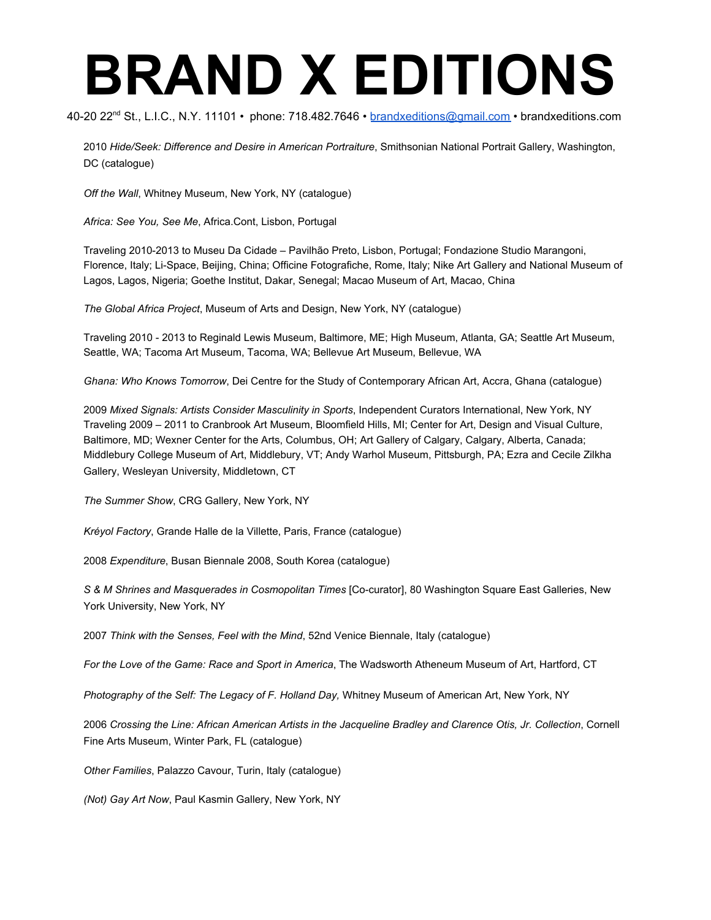40-20 22<sup>nd</sup> St., L.I.C., N.Y. 11101 • phone: 718.482.7646 • <u>[brandxeditions@gmail.com](mailto:brandxeditions@gmail.com)</u> • brandxeditions.com

2010 *Hide/Seek: Difference and Desire in American Portraiture*, Smithsonian National Portrait Gallery, Washington, DC (catalogue)

*Off the Wall*, Whitney Museum, New York, NY (catalogue)

*Africa: See You, See Me*, Africa.Cont, Lisbon, Portugal

Traveling 2010-2013 to Museu Da Cidade – Pavilhão Preto, Lisbon, Portugal; Fondazione Studio Marangoni, Florence, Italy; Li-Space, Beijing, China; Officine Fotografiche, Rome, Italy; Nike Art Gallery and National Museum of Lagos, Lagos, Nigeria; Goethe Institut, Dakar, Senegal; Macao Museum of Art, Macao, China

*The Global Africa Project*, Museum of Arts and Design, New York, NY (catalogue)

Traveling 2010 - 2013 to Reginald Lewis Museum, Baltimore, ME; High Museum, Atlanta, GA; Seattle Art Museum, Seattle, WA; Tacoma Art Museum, Tacoma, WA; Bellevue Art Museum, Bellevue, WA

*Ghana: Who Knows Tomorrow*, Dei Centre for the Study of Contemporary African Art, Accra, Ghana (catalogue)

2009 *Mixed Signals: Artists Consider Masculinity in Sports*, Independent Curators International, New York, NY Traveling 2009 – 2011 to Cranbrook Art Museum, Bloomfield Hills, MI; Center for Art, Design and Visual Culture, Baltimore, MD; Wexner Center for the Arts, Columbus, OH; Art Gallery of Calgary, Calgary, Alberta, Canada; Middlebury College Museum of Art, Middlebury, VT; Andy Warhol Museum, Pittsburgh, PA; Ezra and Cecile Zilkha Gallery, Wesleyan University, Middletown, CT

*The Summer Show*, CRG Gallery, New York, NY

*Kréyol Factory* , Grande Halle de la Villette, Paris, France (catalogue)

2008 *Expenditure*, Busan Biennale 2008, South Korea (catalogue)

*S & M Shrines and Masquerades in Cosmopolitan Times* [Co-curator], 80 Washington Square East Galleries, New York University, New York, NY

2007 *Think with the Senses, Feel with the Mind*, 52nd Venice Biennale, Italy (catalogue)

*For the Love of the Game: Race and Sport in America*, The Wadsworth Atheneum Museum of Art, Hartford, CT

*Photography of the Self: The Legacy of F. Holland Day,* Whitney Museum of American Art, New York, NY

2006 *Crossing the Line: African American Artists in the Jacqueline Bradley and Clarence Otis, Jr. Collection*, Cornell Fine Arts Museum, Winter Park, FL (catalogue)

*Other Families*, Palazzo Cavour, Turin, Italy (catalogue)

*(Not) Gay Art Now*, Paul Kasmin Gallery, New York, NY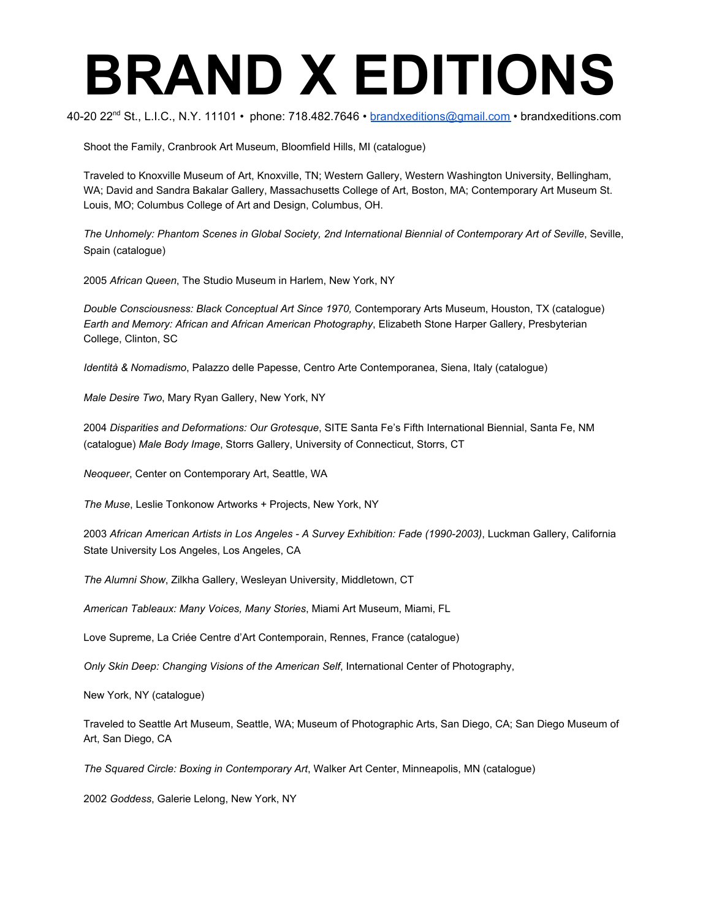40-20 22<sup>nd</sup> St., L.I.C., N.Y. 11101 • phone: 718.482.7646 • <u>[brandxeditions@gmail.com](mailto:brandxeditions@gmail.com)</u> • brandxeditions.com

Shoot the Family, Cranbrook Art Museum, Bloomfield Hills, MI (catalogue)

Traveled to Knoxville Museum of Art, Knoxville, TN; Western Gallery, Western Washington University, Bellingham, WA; David and Sandra Bakalar Gallery, Massachusetts College of Art, Boston, MA; Contemporary Art Museum St. Louis, MO; Columbus College of Art and Design, Columbus, OH.

*The Unhomely: Phantom Scenes in Global Society, 2nd International Biennial of Contemporary Art of Seville*, Seville, Spain (catalogue)

2005 *African Queen*, The Studio Museum in Harlem, New York, NY

*Double Consciousness: Black Conceptual Art Since 1970,* Contemporary Arts Museum, Houston, TX (catalogue) *Earth and Memory: African and African American Photography*, Elizabeth Stone Harper Gallery, Presbyterian College, Clinton, SC

*Identità & Nomadismo* , Palazzo delle Papesse, Centro Arte Contemporanea, Siena, Italy (catalogue)

*Male Desire Two*, Mary Ryan Gallery, New York, NY

2004 *Disparities and Deformations: Our Grotesque*, SITE Santa Fe's Fifth International Biennial, Santa Fe, NM (catalogue) *Male Body Image*, Storrs Gallery, University of Connecticut, Storrs, CT

*Neoqueer*, Center on Contemporary Art, Seattle, WA

*The Muse*, Leslie Tonkonow Artworks + Projects, New York, NY

2003 *African American Artists in Los Angeles - A Survey Exhibition: Fade (1990-2003)*, Luckman Gallery, California State University Los Angeles, Los Angeles, CA

*The Alumni Show*, Zilkha Gallery, Wesleyan University, Middletown, CT

*American Tableaux: Many Voices, Many Stories*, Miami Art Museum, Miami, FL

Love Supreme, La Criée Centre d'Art Contemporain, Rennes, France (catalogue)

*Only Skin Deep: Changing Visions of the American Self*, International Center of Photography,

New York, NY (catalogue)

Traveled to Seattle Art Museum, Seattle, WA; Museum of Photographic Arts, San Diego, CA; San Diego Museum of Art, San Diego, CA

*The Squared Circle: Boxing in Contemporary Art*, Walker Art Center, Minneapolis, MN (catalogue)

2002 *Goddess*, Galerie Lelong, New York, NY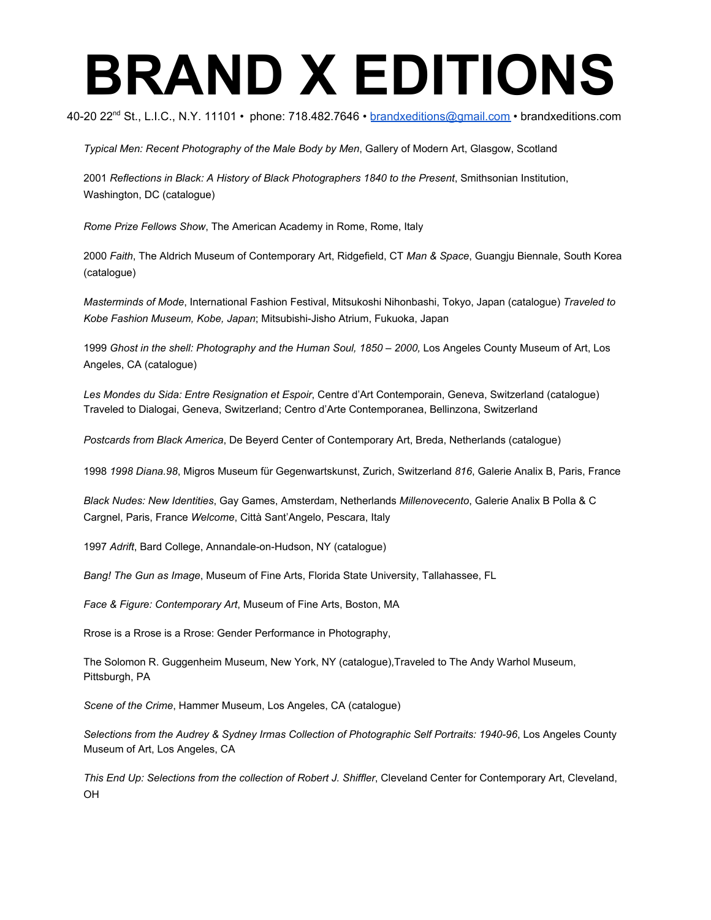40-20 22<sup>nd</sup> St., L.I.C., N.Y. 11101 • phone: 718.482.7646 • <u>[brandxeditions@gmail.com](mailto:brandxeditions@gmail.com)</u> • brandxeditions.com

*Typical Men: Recent Photography of the Male Body by Men*, Gallery of Modern Art, Glasgow, Scotland

2001 *Reflections in Black: A History of Black Photographers 1840 to the Present*, Smithsonian Institution, Washington, DC (catalogue)

*Rome Prize Fellows Show*, The American Academy in Rome, Rome, Italy

2000 *Faith*, The Aldrich Museum of Contemporary Art, Ridgefield, CT *Man & Space*, Guangju Biennale, South Korea (catalogue)

*Masterminds of Mode*, International Fashion Festival, Mitsukoshi Nihonbashi, Tokyo, Japan (catalogue) *Traveled to Kobe Fashion Museum, Kobe, Japan*; Mitsubishi-Jisho Atrium, Fukuoka, Japan

1999 Ghost in the shell: Photography and the Human Soul, 1850 - 2000, Los Angeles County Museum of Art, Los Angeles, CA (catalogue)

*Les Mondes du Sida: Entre Resignation et Espoir*, Centre d'Art Contemporain, Geneva, Switzerland (catalogue) Traveled to Dialogai, Geneva, Switzerland; Centro d'Arte Contemporanea, Bellinzona, Switzerland

*Postcards from Black America*, De Beyerd Center of Contemporary Art, Breda, Netherlands (catalogue)

1998 *1998 Diana.98*, Migros Museum für Gegenwartskunst, Zurich, Switzerland *816*, Galerie Analix B, Paris, France

*Black Nudes: New Identities*, Gay Games, Amsterdam, Netherlands *Millenovecento*, Galerie Analix B Polla & C Cargnel, Paris, France *Welcome*, Città Sant'Angelo, Pescara, Italy

1997 *Adrift*, Bard College, Annandale-on-Hudson, NY (catalogue)

*Bang! The Gun as Image*, Museum of Fine Arts, Florida State University, Tallahassee, FL

*Face & Figure: Contemporary Art*, Museum of Fine Arts, Boston, MA

Rrose is a Rrose is a Rrose: Gender Performance in Photography,

The Solomon R. Guggenheim Museum, New York, NY (catalogue),Traveled to The Andy Warhol Museum, Pittsburgh, PA

*Scene of the Crime*, Hammer Museum, Los Angeles, CA (catalogue)

*Selections from the Audrey & Sydney Irmas Collection of Photographic Self Portraits: 1940-96*, Los Angeles County Museum of Art, Los Angeles, CA

*This End Up: Selections from the collection of Robert J. Shiffler*, Cleveland Center for Contemporary Art, Cleveland, OH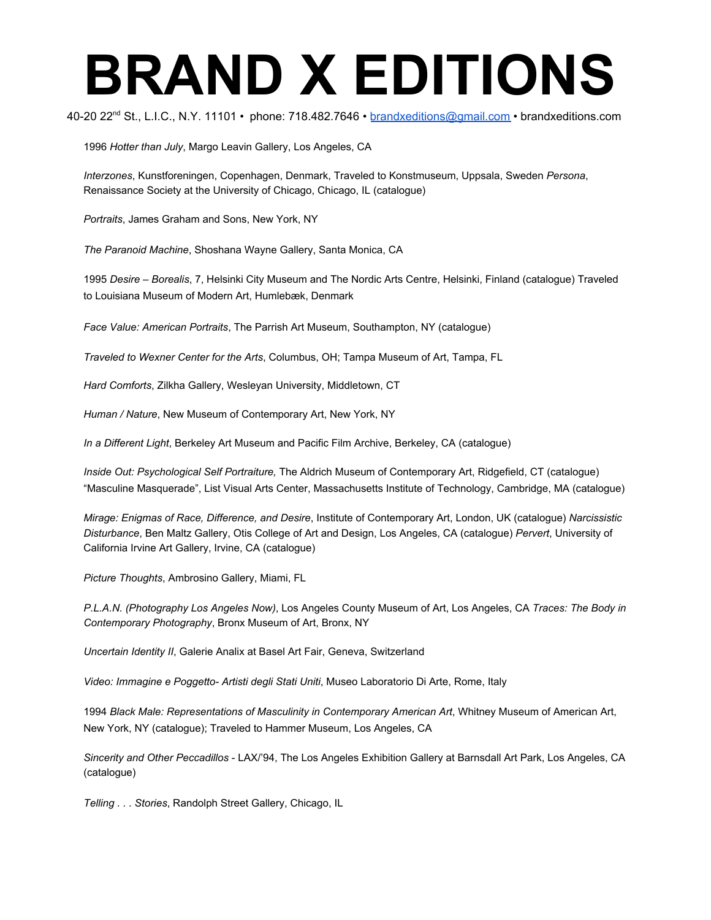40-20 22<sup>nd</sup> St., L.I.C., N.Y. 11101 • phone: 718.482.7646 • <u>[brandxeditions@gmail.com](mailto:brandxeditions@gmail.com)</u> • brandxeditions.com

1996 *Hotter than July*, Margo Leavin Gallery, Los Angeles, CA

*Interzones*, Kunstforeningen, Copenhagen, Denmark, Traveled to Konstmuseum, Uppsala, Sweden *Persona*, Renaissance Society at the University of Chicago, Chicago, IL (catalogue)

*Portraits*, James Graham and Sons, New York, NY

*The Paranoid Machine*, Shoshana Wayne Gallery, Santa Monica, CA

1995 *Desire – Borealis*, 7, Helsinki City Museum and The Nordic Arts Centre, Helsinki, Finland (catalogue) Traveled to Louisiana Museum of Modern Art, Humlebæk, Denmark

*Face Value: American Portraits*, The Parrish Art Museum, Southampton, NY (catalogue)

*Traveled to Wexner Center for the Arts*, Columbus, OH; Tampa Museum of Art, Tampa, FL

*Hard Comforts*, Zilkha Gallery, Wesleyan University, Middletown, CT

*Human / Nature*, New Museum of Contemporary Art, New York, NY

*In a Different Light*, Berkeley Art Museum and Pacific Film Archive, Berkeley, CA (catalogue)

*Inside Out: Psychological Self Portraiture,* The Aldrich Museum of Contemporary Art, Ridgefield, CT (catalogue) "Masculine Masquerade", List Visual Arts Center, Massachusetts Institute of Technology, Cambridge, MA (catalogue)

*Mirage: Enigmas of Race, Difference, and Desire*, Institute of Contemporary Art, London, UK (catalogue) *Narcissistic Disturbance*, Ben Maltz Gallery, Otis College of Art and Design, Los Angeles, CA (catalogue) *Pervert*, University of California Irvine Art Gallery, Irvine, CA (catalogue)

*Picture Thoughts*, Ambrosino Gallery, Miami, FL

*P.L.A.N. (Photography Los Angeles Now)*, Los Angeles County Museum of Art, Los Angeles, CA *Traces: The Body in Contemporary Photography*, Bronx Museum of Art, Bronx, NY

*Uncertain Identity II*, Galerie Analix at Basel Art Fair, Geneva, Switzerland

*Video: Immagine e Poggetto- Artisti degli Stati Uniti*, Museo Laboratorio Di Arte, Rome, Italy

1994 *Black Male: Representations of Masculinity in Contemporary American Art*, Whitney Museum of American Art, New York, NY (catalogue); Traveled to Hammer Museum, Los Angeles, CA

*Sincerity and Other Peccadillos* - LAX/'94, The Los Angeles Exhibition Gallery at Barnsdall Art Park, Los Angeles, CA (catalogue)

*Telling . . . Stories*, Randolph Street Gallery, Chicago, IL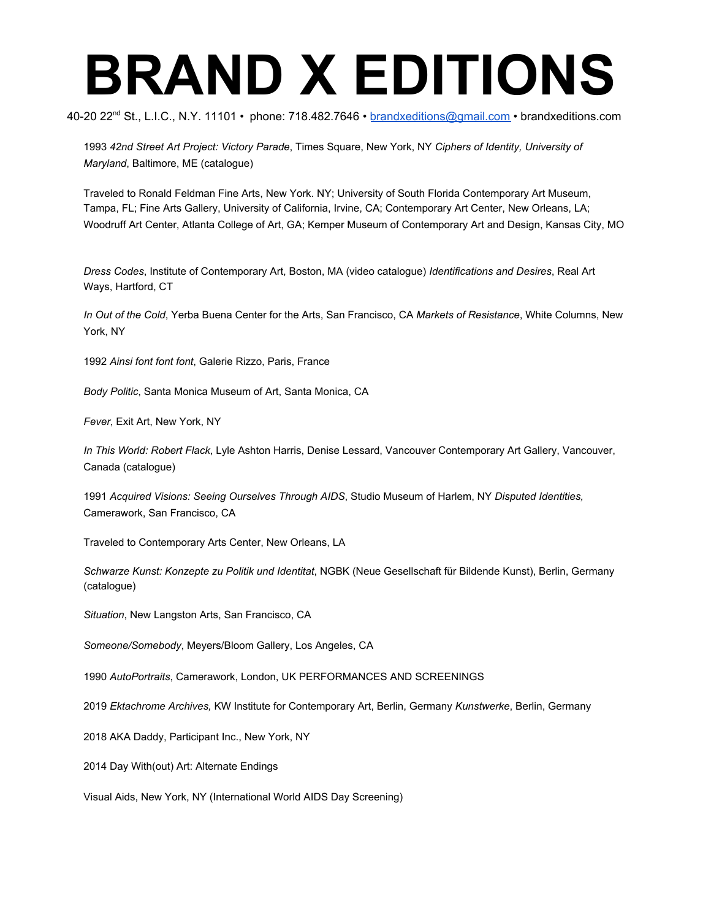40-20 22<sup>nd</sup> St., L.I.C., N.Y. 11101 • phone: 718.482.7646 • <u>[brandxeditions@gmail.com](mailto:brandxeditions@gmail.com)</u> • brandxeditions.com

1993 *42nd Street Art Project: Victory Parade*, Times Square, New York, NY *Ciphers of Identity, University of Maryland*, Baltimore, ME (catalogue)

Traveled to Ronald Feldman Fine Arts, New York. NY; University of South Florida Contemporary Art Museum, Tampa, FL; Fine Arts Gallery, University of California, Irvine, CA; Contemporary Art Center, New Orleans, LA; Woodruff Art Center, Atlanta College of Art, GA; Kemper Museum of Contemporary Art and Design, Kansas City, MO

*Dress Codes*, Institute of Contemporary Art, Boston, MA (video catalogue) *Identifications and Desires*, Real Art Ways, Hartford, CT

*In Out of the Cold*, Yerba Buena Center for the Arts, San Francisco, CA *Markets of Resistance*, White Columns, New York, NY

1992 *Ainsi font font font*, Galerie Rizzo, Paris, France

*Body Politic*, Santa Monica Museum of Art, Santa Monica, CA

*Fever*, Exit Art, New York, NY

*In This World: Robert Flack*, Lyle Ashton Harris, Denise Lessard, Vancouver Contemporary Art Gallery, Vancouver, Canada (catalogue)

1991 *Acquired Visions: Seeing Ourselves Through AIDS*, Studio Museum of Harlem, NY *Disputed Identities,* Camerawork, San Francisco, CA

Traveled to Contemporary Arts Center, New Orleans, LA

*Schwarze Kunst: Konzepte zu Politik und Identitat*, NGBK (Neue Gesellschaft für Bildende Kunst), Berlin, Germany (catalogue)

*Situation*, New Langston Arts, San Francisco, CA

*Someone/Somebody*, Meyers/Bloom Gallery, Los Angeles, CA

1990 *AutoPortraits*, Camerawork, London, UK PERFORMANCES AND SCREENINGS

2019 *Ektachrome Archives,* KW Institute for Contemporary Art, Berlin, Germany *Kunstwerke*, Berlin, Germany

2018 AKA Daddy, Participant Inc., New York, NY

2014 Day With(out) Art: Alternate Endings

Visual Aids, New York, NY (International World AIDS Day Screening)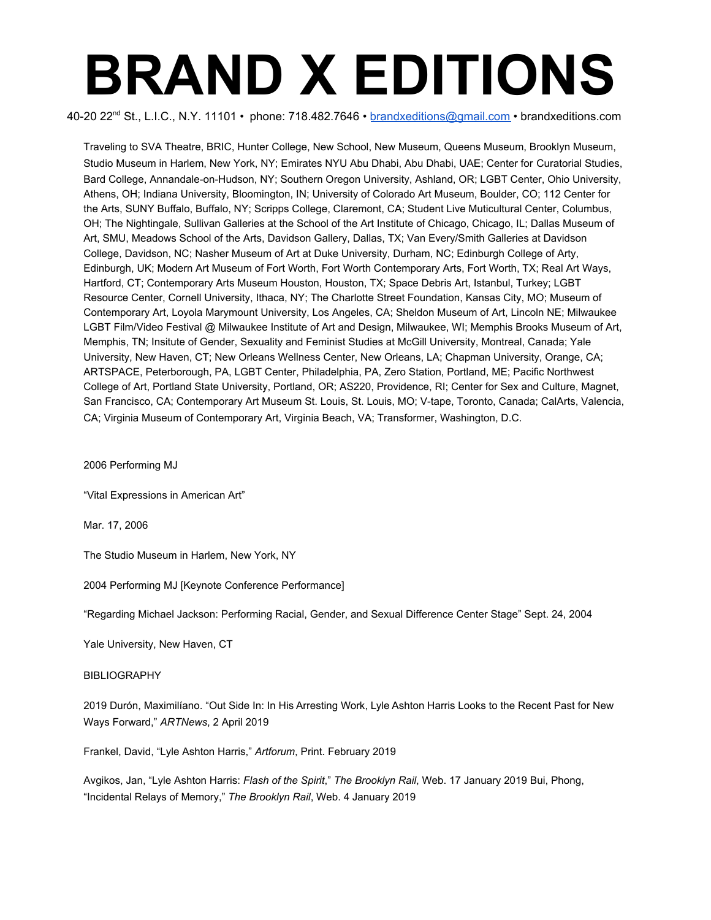40-20 22<sup>nd</sup> St., L.I.C., N.Y. 11101 • phone: 718.482.7646 • <u>[brandxeditions@gmail.com](mailto:brandxeditions@gmail.com)</u> • brandxeditions.com

Traveling to SVA Theatre, BRIC, Hunter College, New School, New Museum, Queens Museum, Brooklyn Museum, Studio Museum in Harlem, New York, NY; Emirates NYU Abu Dhabi, Abu Dhabi, UAE; Center for Curatorial Studies, Bard College, Annandale-on-Hudson, NY; Southern Oregon University, Ashland, OR; LGBT Center, Ohio University, Athens, OH; Indiana University, Bloomington, IN; University of Colorado Art Museum, Boulder, CO; 112 Center for the Arts, SUNY Buffalo, Buffalo, NY; Scripps College, Claremont, CA; Student Live Muticultural Center, Columbus, OH; The Nightingale, Sullivan Galleries at the School of the Art Institute of Chicago, Chicago, IL; Dallas Museum of Art, SMU, Meadows School of the Arts, Davidson Gallery, Dallas, TX; Van Every/Smith Galleries at Davidson College, Davidson, NC; Nasher Museum of Art at Duke University, Durham, NC; Edinburgh College of Arty, Edinburgh, UK; Modern Art Museum of Fort Worth, Fort Worth Contemporary Arts, Fort Worth, TX; Real Art Ways, Hartford, CT; Contemporary Arts Museum Houston, Houston, TX; Space Debris Art, Istanbul, Turkey; LGBT Resource Center, Cornell University, Ithaca, NY; The Charlotte Street Foundation, Kansas City, MO; Museum of Contemporary Art, Loyola Marymount University, Los Angeles, CA; Sheldon Museum of Art, Lincoln NE; Milwaukee LGBT Film/Video Festival @ Milwaukee Institute of Art and Design, Milwaukee, WI; Memphis Brooks Museum of Art, Memphis, TN; Insitute of Gender, Sexuality and Feminist Studies at McGill University, Montreal, Canada; Yale University, New Haven, CT; New Orleans Wellness Center, New Orleans, LA; Chapman University, Orange, CA; ARTSPACE, Peterborough, PA, LGBT Center, Philadelphia, PA, Zero Station, Portland, ME; Pacific Northwest College of Art, Portland State University, Portland, OR; AS220, Providence, RI; Center for Sex and Culture, Magnet, San Francisco, CA; Contemporary Art Museum St. Louis, St. Louis, MO; V-tape, Toronto, Canada; CalArts, Valencia, CA; Virginia Museum of Contemporary Art, Virginia Beach, VA; Transformer, Washington, D.C.

2006 Performing MJ

"Vital Expressions in American Art"

Mar. 17, 2006

The Studio Museum in Harlem, New York, NY

2004 Performing MJ [Keynote Conference Performance]

"Regarding Michael Jackson: Performing Racial, Gender, and Sexual Difference Center Stage" Sept. 24, 2004

Yale University, New Haven, CT

#### BIBLIOGRAPHY

2019 Durón, Maximilíano. "Out Side In: In His Arresting Work, Lyle Ashton Harris Looks to the Recent Past for New Ways Forward," *ARTNews*, 2 April 2019

Frankel, David, "Lyle Ashton Harris," *Artforum*, Print. February 2019

Avgikos, Jan, "Lyle Ashton Harris: *Flash of the Spirit*," *The Brooklyn Rail*, Web. 17 January 2019 Bui, Phong, "Incidental Relays of Memory," *The Brooklyn Rail*, Web. 4 January 2019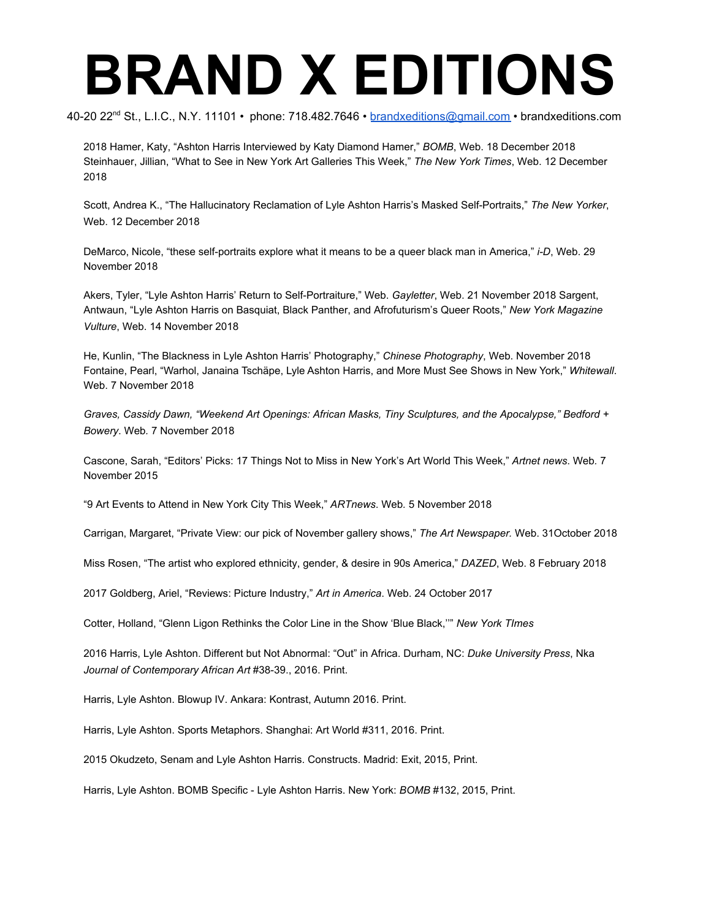40-20 22<sup>nd</sup> St., L.I.C., N.Y. 11101 • phone: 718.482.7646 • <u>[brandxeditions@gmail.com](mailto:brandxeditions@gmail.com)</u> • brandxeditions.com

2018 Hamer, Katy, "Ashton Harris Interviewed by Katy Diamond Hamer," *BOMB*, Web. 18 December 2018 Steinhauer, Jillian, "What to See in New York Art Galleries This Week," *The New York Times*, Web. 12 December 2018

Scott, Andrea K., "The Hallucinatory Reclamation of Lyle Ashton Harris's Masked Self-Portraits," *The New Yorker*, Web. 12 December 2018

DeMarco, Nicole, "these self-portraits explore what it means to be a queer black man in America," *i-D*, Web. 29 November 2018

Akers, Tyler, "Lyle Ashton Harris' Return to Self-Portraiture," Web. *Gayletter*, Web. 21 November 2018 Sargent, Antwaun, "Lyle Ashton Harris on Basquiat, Black Panther, and Afrofuturism's Queer Roots," *New York Magazine Vulture*, Web. 14 November 2018

He, Kunlin, "The Blackness in Lyle Ashton Harris' Photography," *Chinese Photography*, Web. November 2018 Fontaine, Pearl, "Warhol, Janaina Tschäpe, Lyle Ashton Harris, and More Must See Shows in New York," *Whitewall*. Web. 7 November 2018

*Graves, Cassidy Dawn, "Weekend Art Openings: African Masks, Tiny Sculptures, and the Apocalypse," Bedford + Bowery*. Web*.* 7 November 2018

Cascone, Sarah, "Editors' Picks: 17 Things Not to Miss in New York's Art World This Week," *Artnet news*. Web*.* 7 November 2015

"9 Art Events to Attend in New York City This Week," *ARTnews*. Web*.* 5 November 2018

Carrigan, Margaret, "Private View: our pick of November gallery shows," *The Art Newspaper.* Web. 31October 2018

Miss Rosen, "The artist who explored ethnicity, gender, & desire in 90s America," *DAZED*, Web. 8 February 2018

2017 Goldberg, Ariel, "Reviews: Picture Industry," *Art in America*. Web. 24 October 2017

Cotter, Holland, "Glenn Ligon Rethinks the Color Line in the Show 'Blue Black,''" *New York TImes*

2016 Harris, Lyle Ashton. Different but Not Abnormal: "Out" in Africa. Durham, NC: *Duke University Press*, Nka *Journal of Contemporary African Art* #38-39., 2016. Print.

Harris, Lyle Ashton. Blowup IV. Ankara: Kontrast, Autumn 2016. Print.

Harris, Lyle Ashton. Sports Metaphors. Shanghai: Art World #311, 2016. Print.

2015 Okudzeto, Senam and Lyle Ashton Harris. Constructs. Madrid: Exit, 2015, Print.

Harris, Lyle Ashton. BOMB Specific - Lyle Ashton Harris. New York: *BOMB* #132, 2015, Print.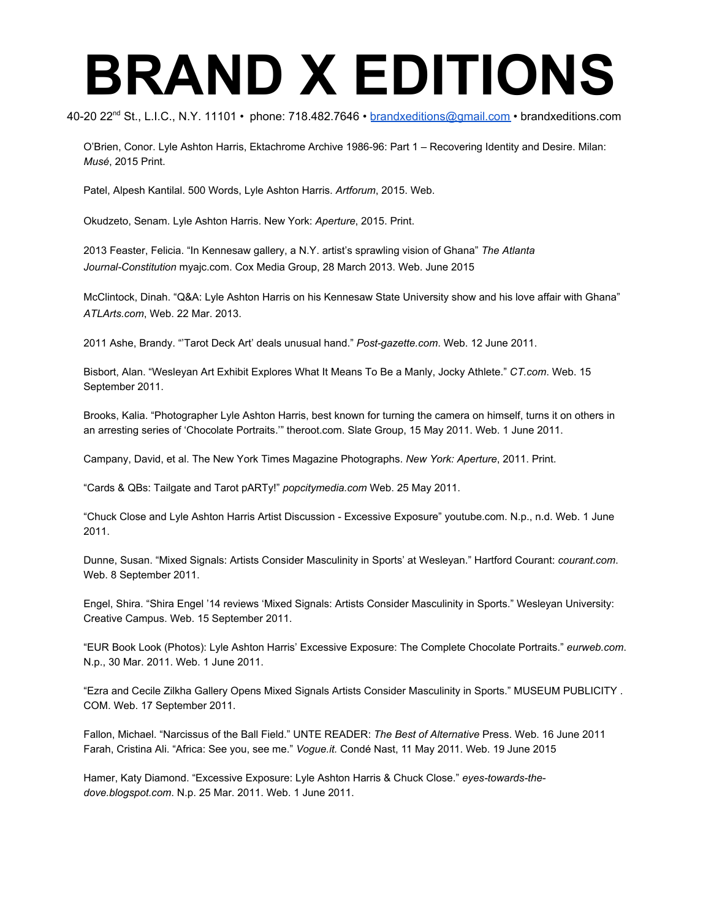40-20 22<sup>nd</sup> St., L.I.C., N.Y. 11101 • phone: 718.482.7646 • <u>[brandxeditions@gmail.com](mailto:brandxeditions@gmail.com)</u> • brandxeditions.com

O'Brien, Conor. Lyle Ashton Harris, Ektachrome Archive 1986-96: Part 1 – Recovering Identity and Desire. Milan: *Musé* , 2015 Print.

Patel, Alpesh Kantilal. 500 Words, Lyle Ashton Harris. *Artforum*, 2015. Web.

Okudzeto, Senam. Lyle Ashton Harris. New York: *Aperture*, 2015. Print.

2013 Feaster, Felicia. "In Kennesaw gallery, a N.Y. artist's sprawling vision of Ghana" *The Atlanta Journal-Constitution* myajc.com. Cox Media Group, 28 March 2013. Web. June 2015

McClintock, Dinah. "Q&A: Lyle Ashton Harris on his Kennesaw State University show and his love affair with Ghana" *ATLArts.com*, Web. 22 Mar. 2013.

2011 Ashe, Brandy. "'Tarot Deck Art' deals unusual hand." *Post-gazette.com*. Web. 12 June 2011.

Bisbort, Alan. "Wesleyan Art Exhibit Explores What It Means To Be a Manly, Jocky Athlete." *CT.com*. Web. 15 September 2011.

Brooks, Kalia. "Photographer Lyle Ashton Harris, best known for turning the camera on himself, turns it on others in an arresting series of 'Chocolate Portraits.'" theroot.com. Slate Group, 15 May 2011. Web. 1 June 2011.

Campany, David, et al. The New York Times Magazine Photographs. *New York: Aperture*, 2011. Print.

"Cards & QBs: Tailgate and Tarot pARTy!" *popcitymedia.com* Web. 25 May 2011.

"Chuck Close and Lyle Ashton Harris Artist Discussion - Excessive Exposure" youtube.com. N.p., n.d. Web. 1 June 2011.

Dunne, Susan. "Mixed Signals: Artists Consider Masculinity in Sports' at Wesleyan." Hartford Courant: *courant.com*. Web. 8 September 2011.

Engel, Shira. "Shira Engel '14 reviews 'Mixed Signals: Artists Consider Masculinity in Sports." Wesleyan University: Creative Campus. Web. 15 September 2011.

"EUR Book Look (Photos): Lyle Ashton Harris' Excessive Exposure: The Complete Chocolate Portraits." *eurweb.com*. N.p., 30 Mar. 2011. Web. 1 June 2011.

"Ezra and Cecile Zilkha Gallery Opens Mixed Signals Artists Consider Masculinity in Sports." MUSEUM PUBLICITY . COM. Web. 17 September 2011.

Fallon, Michael. "Narcissus of the Ball Field." UNTE READER: *The Best of Alternative* Press. Web. 16 June 2011 Farah, Cristina Ali. "Africa: See you, see me." *Vogue.it.* Condé Nast, 11 May 2011. Web. 19 June 2015

Hamer, Katy Diamond. "Excessive Exposure: Lyle Ashton Harris & Chuck Close." *eyes-towards-thedove.blogspot.com*. N.p. 25 Mar. 2011. Web. 1 June 2011.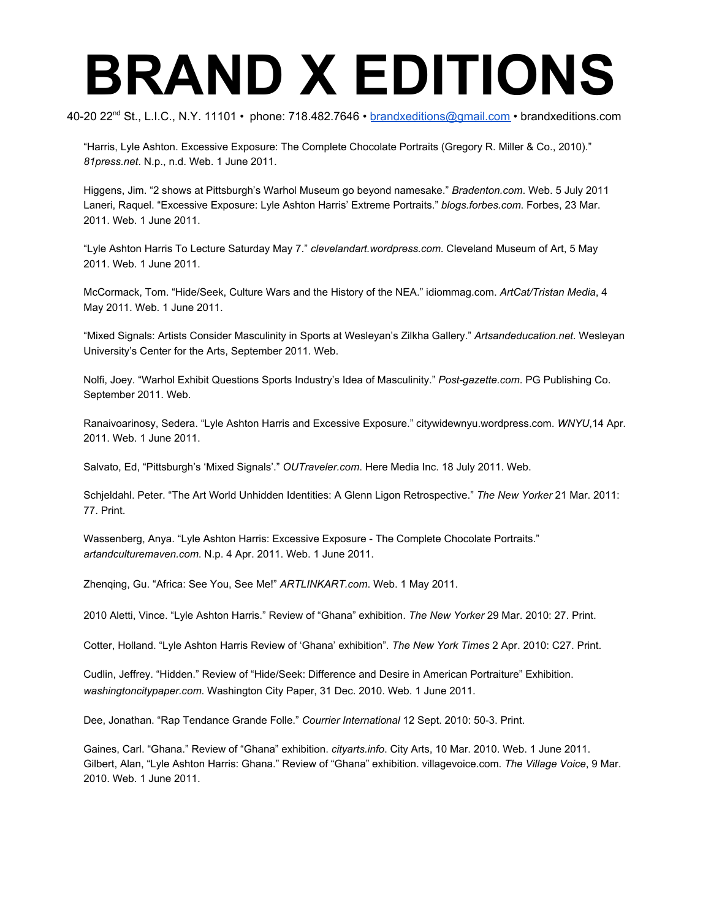40-20 22<sup>nd</sup> St., L.I.C., N.Y. 11101 • phone: 718.482.7646 • <u>[brandxeditions@gmail.com](mailto:brandxeditions@gmail.com)</u> • brandxeditions.com

"Harris, Lyle Ashton. Excessive Exposure: The Complete Chocolate Portraits (Gregory R. Miller & Co., 2010)." *81press.net*. N.p., n.d. Web. 1 June 2011.

Higgens, Jim. "2 shows at Pittsburgh's Warhol Museum go beyond namesake." *Bradenton.com*. Web. 5 July 2011 Laneri, Raquel. "Excessive Exposure: Lyle Ashton Harris' Extreme Portraits." *blogs.forbes.com*. Forbes, 23 Mar. 2011. Web. 1 June 2011.

"Lyle Ashton Harris To Lecture Saturday May 7." *clevelandart.wordpress.com*. Cleveland Museum of Art, 5 May 2011. Web. 1 June 2011.

McCormack, Tom. "Hide/Seek, Culture Wars and the History of the NEA." idiommag.com. *ArtCat/Tristan Media*, 4 May 2011. Web. 1 June 2011.

"Mixed Signals: Artists Consider Masculinity in Sports at Wesleyan's Zilkha Gallery." *Artsandeducation.net*. Wesleyan University's Center for the Arts, September 2011. Web.

Nolfi, Joey. "Warhol Exhibit Questions Sports Industry's Idea of Masculinity." *Post-gazette.com*. PG Publishing Co. September 2011. Web.

Ranaivoarinosy, Sedera. "Lyle Ashton Harris and Excessive Exposure." citywidewnyu.wordpress.com. *WNYU*,14 Apr. 2011. Web. 1 June 2011.

Salvato, Ed, "Pittsburgh's 'Mixed Signals'." *OUTraveler.com*. Here Media Inc. 18 July 2011. Web.

Schjeldahl. Peter. "The Art World Unhidden Identities: A Glenn Ligon Retrospective." *The New Yorker* 21 Mar. 2011: 77. Print.

Wassenberg, Anya. "Lyle Ashton Harris: Excessive Exposure - The Complete Chocolate Portraits." *artandculturemaven.com*. N.p. 4 Apr. 2011. Web. 1 June 2011.

Zhenqing, Gu. "Africa: See You, See Me!" *ARTLINKART.com*. Web. 1 May 2011.

2010 Aletti, Vince. "Lyle Ashton Harris." Review of "Ghana" exhibition. *The New Yorker* 29 Mar. 2010: 27. Print.

Cotter, Holland. "Lyle Ashton Harris Review of 'Ghana' exhibition". *The New York Times* 2 Apr. 2010: C27. Print.

Cudlin, Jeffrey. "Hidden." Review of "Hide/Seek: Difference and Desire in American Portraiture" Exhibition. *washingtoncitypaper.com*. Washington City Paper, 31 Dec. 2010. Web. 1 June 2011.

Dee, Jonathan. "Rap Tendance Grande Folle." *Courrier International* 12 Sept. 2010: 50-3. Print.

Gaines, Carl. "Ghana." Review of "Ghana" exhibition. *cityarts.info*. City Arts, 10 Mar. 2010. Web. 1 June 2011. Gilbert, Alan, "Lyle Ashton Harris: Ghana." Review of "Ghana" exhibition. villagevoice.com. *The Village Voice*, 9 Mar. 2010. Web. 1 June 2011.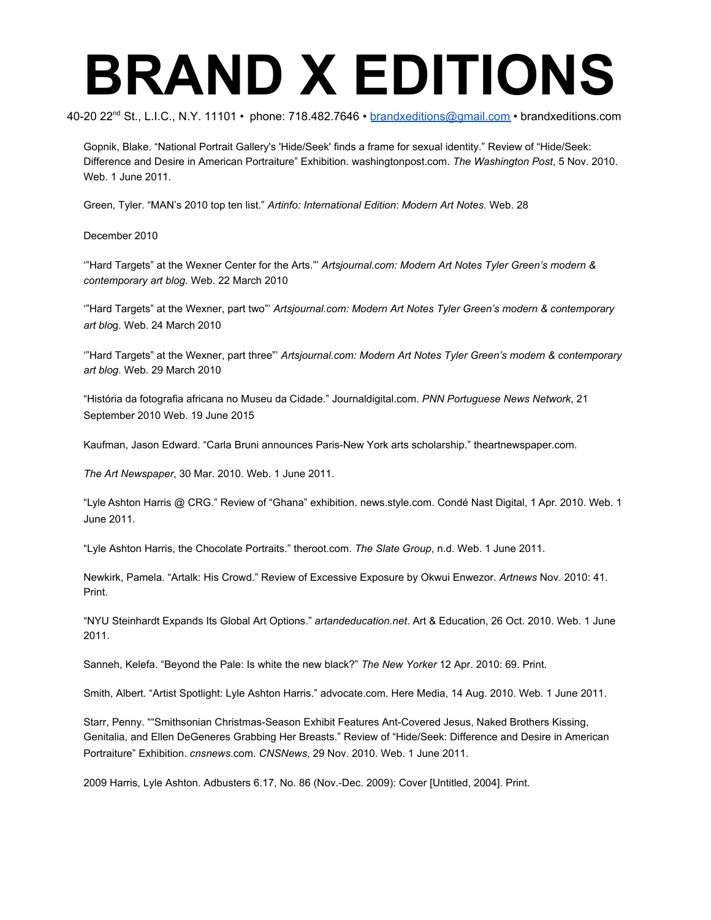40-20 22<sup>nd</sup> St., L.I.C., N.Y. 11101 • phone: 718.482.7646 • <u>[brandxeditions@gmail.com](mailto:brandxeditions@gmail.com)</u> • brandxeditions.com

Gopnik, Blake. "National Portrait Gallery's 'Hide/Seek' finds a frame for sexual identity." Review of "Hide/Seek: Difference and Desire in American Portraiture" Exhibition. washingtonpost.com. *The Washington Post*, 5 Nov. 2010. Web. 1 June 2011.

Green, Tyler. "MAN's 2010 top ten list." *Artinfo: International Edition*: *Modern Art Notes*. Web. 28

December 2010

'"Hard Targets" at the Wexner Center for the Arts."' *Artsjournal.com: Modern Art Notes Tyler Green's modern & contemporary art blog*. Web. 22 March 2010

'"Hard Targets" at the Wexner, part two"' *Artsjournal.com: Modern Art Notes Tyler Green's modern & contemporary art blo*g. Web. 24 March 2010

'"Hard Targets" at the Wexner, part three"' *Artsjournal.com: Modern Art Notes Tyler Green's modern & contemporary art blog*. Web. 29 March 2010

"História da fotografia africana no Museu da Cidade." Journaldigital.com. *PNN Portuguese News Network*, 21 September 2010 Web. 19 June 2015

Kaufman, Jason Edward. "Carla Bruni announces Paris-New York arts scholarship." theartnewspaper.com.

*The Art Newspaper*, 30 Mar. 2010. Web. 1 June 2011.

"Lyle Ashton Harris @ CRG." Review of "Ghana" exhibition. news.style.com. Condé Nast Digital, 1 Apr. 2010. Web. 1 June 2011.

"Lyle Ashton Harris, the Chocolate Portraits." theroot.com. *The Slate Group*, n.d. Web. 1 June 2011.

Newkirk, Pamela. "Artalk: His Crowd." Review of Excessive Exposure by Okwui Enwezor. *Artnews* Nov. 2010: 41. Print.

"NYU Steinhardt Expands Its Global Art Options." *artandeducation.net*. Art & Education, 26 Oct. 2010. Web. 1 June 2011.

Sanneh, Kelefa. "Beyond the Pale: Is white the new black?" *The New Yorker* 12 Apr. 2010: 69. Print.

Smith, Albert. "Artist Spotlight: Lyle Ashton Harris." advocate.com. Here Media, 14 Aug. 2010. Web. 1 June 2011.

Starr, Penny. ""Smithsonian Christmas-Season Exhibit Features Ant-Covered Jesus, Naked Brothers Kissing, Genitalia, and Ellen DeGeneres Grabbing Her Breasts." Review of "Hide/Seek: Difference and Desire in American Portraiture" Exhibition. *cnsnews*.com. *CNSNews*, 29 Nov. 2010. Web. 1 June 2011.

2009 Harris, Lyle Ashton. Adbusters 6.17, No. 86 (Nov.-Dec. 2009): Cover [Untitled, 2004]. Print.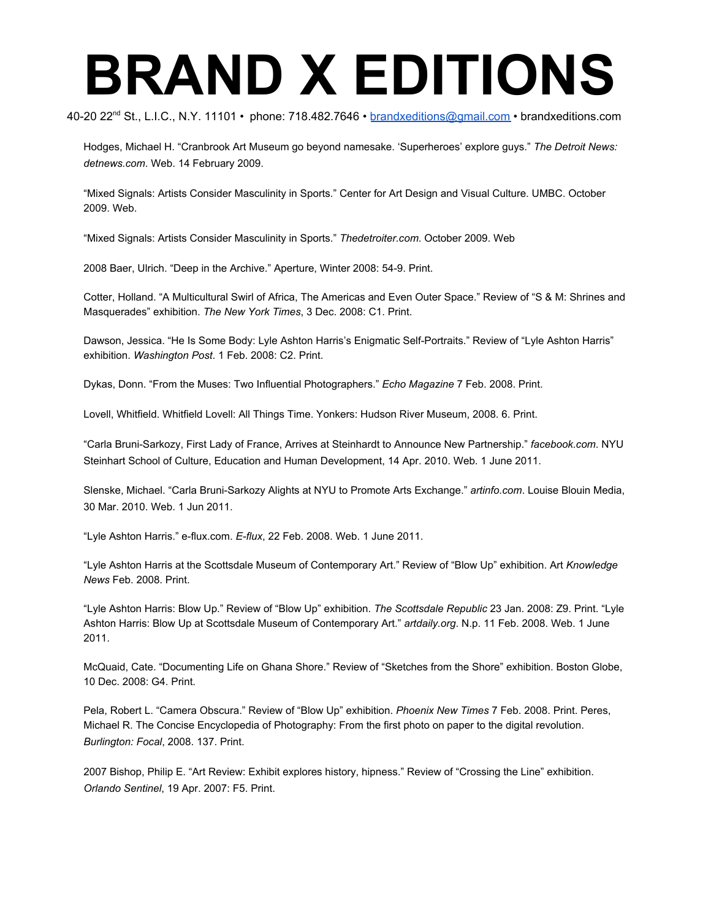40-20 22<sup>nd</sup> St., L.I.C., N.Y. 11101 • phone: 718.482.7646 • <u>[brandxeditions@gmail.com](mailto:brandxeditions@gmail.com)</u> • brandxeditions.com

Hodges, Michael H. "Cranbrook Art Museum go beyond namesake. 'Superheroes' explore guys." *The Detroit News: detnews.com*. Web. 14 February 2009.

"Mixed Signals: Artists Consider Masculinity in Sports." Center for Art Design and Visual Culture. UMBC. October 2009. Web.

"Mixed Signals: Artists Consider Masculinity in Sports." *Thedetroiter.com*. October 2009. Web

2008 Baer, Ulrich. "Deep in the Archive." Aperture, Winter 2008: 54-9. Print.

Cotter, Holland. "A Multicultural Swirl of Africa, The Americas and Even Outer Space." Review of "S & M: Shrines and Masquerades" exhibition. *The New York Times*, 3 Dec. 2008: C1. Print.

Dawson, Jessica. "He Is Some Body: Lyle Ashton Harris's Enigmatic Self-Portraits." Review of "Lyle Ashton Harris" exhibition. *Washington Post*. 1 Feb. 2008: C2. Print.

Dykas, Donn. "From the Muses: Two Influential Photographers." *Echo Magazine* 7 Feb. 2008. Print.

Lovell, Whitfield. Whitfield Lovell: All Things Time. Yonkers: Hudson River Museum, 2008. 6. Print.

"Carla Bruni-Sarkozy, First Lady of France, Arrives at Steinhardt to Announce New Partnership." *facebook.com*. NYU Steinhart School of Culture, Education and Human Development, 14 Apr. 2010. Web. 1 June 2011.

Slenske, Michael. "Carla Bruni-Sarkozy Alights at NYU to Promote Arts Exchange." *artinfo.com*. Louise Blouin Media, 30 Mar. 2010. Web. 1 Jun 2011.

"Lyle Ashton Harris." e-flux.com. *E-flux*, 22 Feb. 2008. Web. 1 June 2011.

"Lyle Ashton Harris at the Scottsdale Museum of Contemporary Art." Review of "Blow Up" exhibition. Art *Knowledge News* Feb. 2008. Print.

"Lyle Ashton Harris: Blow Up." Review of "Blow Up" exhibition. *The Scottsdale Republic* 23 Jan. 2008: Z9. Print. "Lyle Ashton Harris: Blow Up at Scottsdale Museum of Contemporary Art." *artdaily.org*. N.p. 11 Feb. 2008. Web. 1 June 2011.

McQuaid, Cate. "Documenting Life on Ghana Shore." Review of "Sketches from the Shore" exhibition. Boston Globe, 10 Dec. 2008: G4. Print.

Pela, Robert L. "Camera Obscura." Review of "Blow Up" exhibition. *Phoenix New Times* 7 Feb. 2008. Print. Peres, Michael R. The Concise Encyclopedia of Photography: From the first photo on paper to the digital revolution. *Burlington: Focal*, 2008. 137. Print.

2007 Bishop, Philip E. "Art Review: Exhibit explores history, hipness." Review of "Crossing the Line" exhibition. *Orlando Sentinel*, 19 Apr. 2007: F5. Print.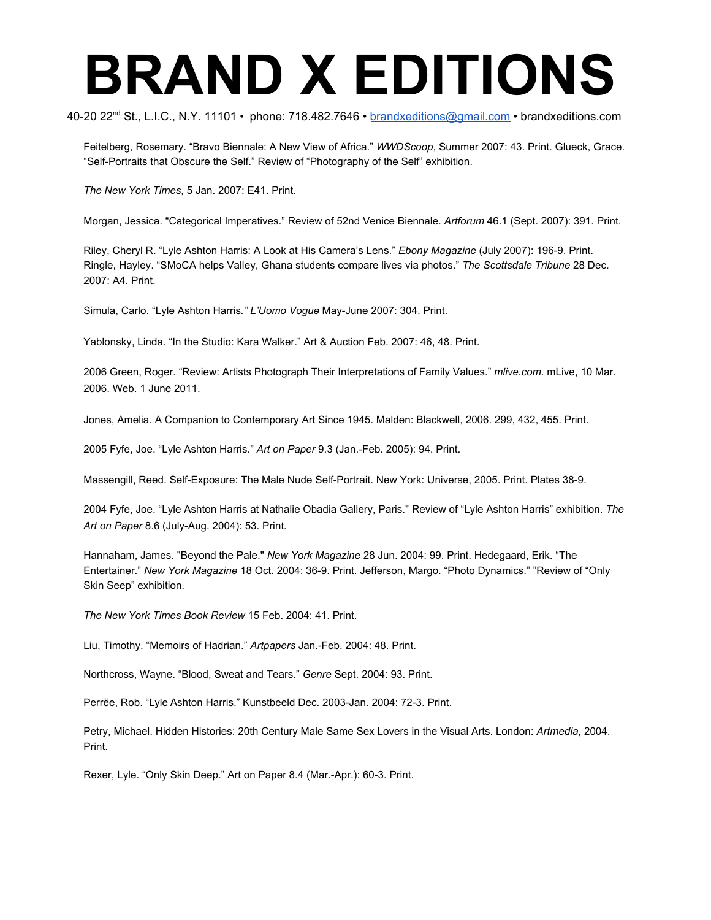40-20 22<sup>nd</sup> St., L.I.C., N.Y. 11101 • phone: 718.482.7646 • <u>[brandxeditions@gmail.com](mailto:brandxeditions@gmail.com)</u> • brandxeditions.com

Feitelberg, Rosemary. "Bravo Biennale: A New View of Africa." *WWDScoop*, Summer 2007: 43. Print. Glueck, Grace. "Self-Portraits that Obscure the Self." Review of "Photography of the Self" exhibition.

*The New York Times*, 5 Jan. 2007: E41. Print.

Morgan, Jessica. "Categorical Imperatives." Review of 52nd Venice Biennale. *Artforum* 46.1 (Sept. 2007): 391. Print.

Riley, Cheryl R. "Lyle Ashton Harris: A Look at His Camera's Lens." *Ebony Magazine* (July 2007): 196-9. Print. Ringle, Hayley. "SMoCA helps Valley, Ghana students compare lives via photos." *The Scottsdale Tribune* 28 Dec. 2007: A4. Print.

Simula, Carlo. "Lyle Ashton Harris*." L'Uomo Vogue* May-June 2007: 304. Print.

Yablonsky, Linda. "In the Studio: Kara Walker." Art & Auction Feb. 2007: 46, 48. Print.

2006 Green, Roger. "Review: Artists Photograph Their Interpretations of Family Values." *mlive.com*. mLive, 10 Mar. 2006. Web. 1 June 2011.

Jones, Amelia. A Companion to Contemporary Art Since 1945. Malden: Blackwell, 2006. 299, 432, 455. Print.

2005 Fyfe, Joe. "Lyle Ashton Harris." *Art on Paper* 9.3 (Jan.-Feb. 2005): 94. Print.

Massengill, Reed. Self-Exposure: The Male Nude Self-Portrait. New York: Universe, 2005. Print. Plates 38-9.

2004 Fyfe, Joe. "Lyle Ashton Harris at Nathalie Obadia Gallery, Paris." Review of "Lyle Ashton Harris" exhibition. *The Art on Paper* 8.6 (July-Aug. 2004): 53. Print.

Hannaham, James. "Beyond the Pale." *New York Magazine* 28 Jun. 2004: 99. Print. Hedegaard, Erik. "The Entertainer." *New York Magazine* 18 Oct. 2004: 36-9. Print. Jefferson, Margo. "Photo Dynamics." "Review of "Only Skin Seep" exhibition.

*The New York Times Book Review* 15 Feb. 2004: 41. Print.

Liu, Timothy. "Memoirs of Hadrian." *Artpapers* Jan.-Feb. 2004: 48. Print.

Northcross, Wayne. "Blood, Sweat and Tears." *Genre* Sept. 2004: 93. Print.

Perrëe, Rob. "Lyle Ashton Harris." Kunstbeeld Dec. 2003-Jan. 2004: 72-3. Print.

Petry, Michael. Hidden Histories: 20th Century Male Same Sex Lovers in the Visual Arts. London: *Artmedia*, 2004. Print.

Rexer, Lyle. "Only Skin Deep." Art on Paper 8.4 (Mar.-Apr.): 60-3. Print.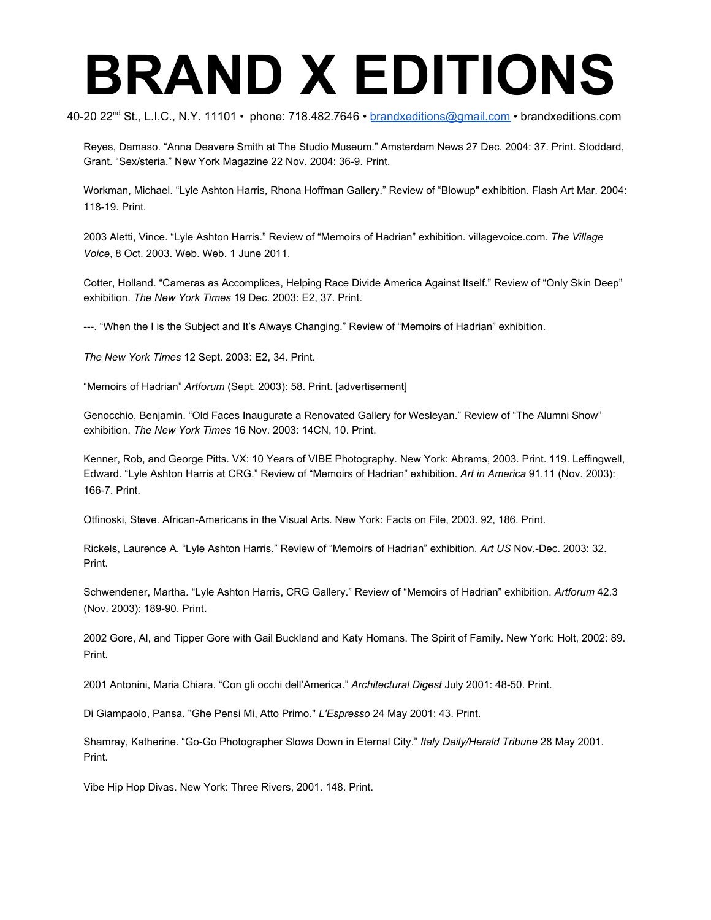40-20 22<sup>nd</sup> St., L.I.C., N.Y. 11101 • phone: 718.482.7646 • <u>[brandxeditions@gmail.com](mailto:brandxeditions@gmail.com)</u> • brandxeditions.com

Reyes, Damaso. "Anna Deavere Smith at The Studio Museum." Amsterdam News 27 Dec. 2004: 37. Print. Stoddard, Grant. "Sex/steria." New York Magazine 22 Nov. 2004: 36-9. Print.

Workman, Michael. "Lyle Ashton Harris, Rhona Hoffman Gallery." Review of "Blowup" exhibition. Flash Art Mar. 2004: 118-19. Print.

2003 Aletti, Vince. "Lyle Ashton Harris." Review of "Memoirs of Hadrian" exhibition. villagevoice.com. *The Village Voice*, 8 Oct. 2003. Web. Web. 1 June 2011.

Cotter, Holland. "Cameras as Accomplices, Helping Race Divide America Against Itself." Review of "Only Skin Deep" exhibition. *The New York Times* 19 Dec. 2003: E2, 37. Print.

---. "When the I is the Subject and It's Always Changing." Review of "Memoirs of Hadrian" exhibition.

*The New York Times* 12 Sept. 2003: E2, 34. Print.

"Memoirs of Hadrian" *Artforum* (Sept. 2003): 58. Print. [advertisement]

Genocchio, Benjamin. "Old Faces Inaugurate a Renovated Gallery for Wesleyan." Review of "The Alumni Show" exhibition. *The New York Times* 16 Nov. 2003: 14CN, 10. Print.

Kenner, Rob, and George Pitts. VX: 10 Years of VIBE Photography. New York: Abrams, 2003. Print. 119. Leffingwell, Edward. "Lyle Ashton Harris at CRG." Review of "Memoirs of Hadrian" exhibition. *Art in America* 91.11 (Nov. 2003): 166-7. Print.

Otfinoski, Steve. African-Americans in the Visual Arts. New York: Facts on File, 2003. 92, 186. Print.

Rickels, Laurence A. "Lyle Ashton Harris." Review of "Memoirs of Hadrian" exhibition. *Art US* Nov.-Dec. 2003: 32. Print.

Schwendener, Martha. "Lyle Ashton Harris, CRG Gallery." Review of "Memoirs of Hadrian" exhibition. *Artforum* 42.3 (Nov. 2003): 189-90. Print.

2002 Gore, Al, and Tipper Gore with Gail Buckland and Katy Homans. The Spirit of Family. New York: Holt, 2002: 89. Print.

2001 Antonini, Maria Chiara. "Con gli occhi dell'America." *Architectural Digest* July 2001: 48-50. Print.

Di Giampaolo, Pansa. "Ghe Pensi Mi, Atto Primo." *L'Espresso* 24 May 2001: 43. Print.

Shamray, Katherine. "Go-Go Photographer Slows Down in Eternal City." *Italy Daily/Herald Tribune* 28 May 2001. Print.

Vibe Hip Hop Divas. New York: Three Rivers, 2001. 148. Print.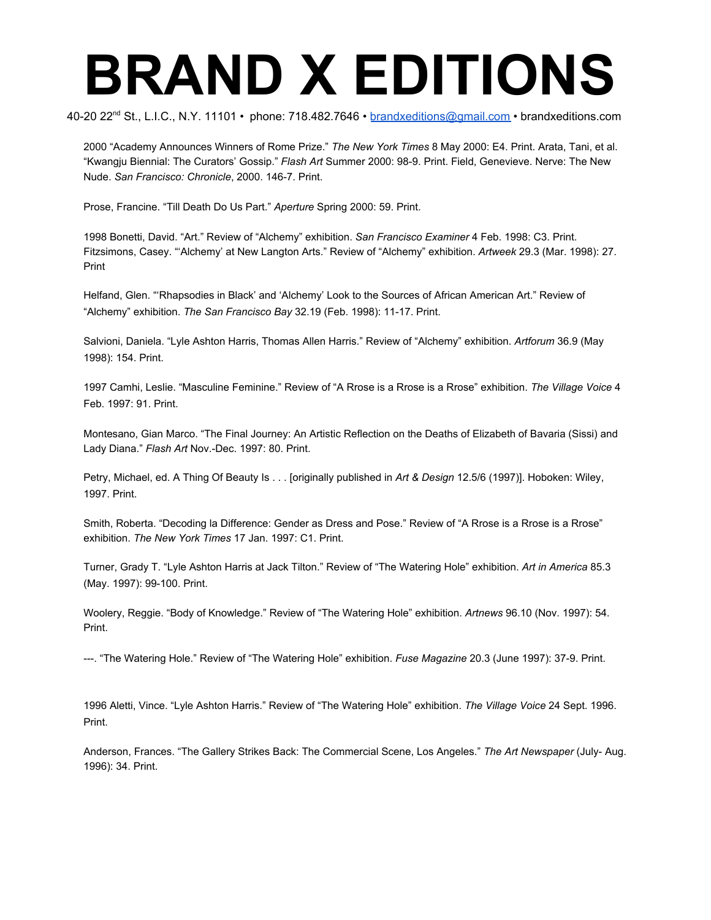40-20 22<sup>nd</sup> St., L.I.C., N.Y. 11101 • phone: 718.482.7646 • <u>[brandxeditions@gmail.com](mailto:brandxeditions@gmail.com)</u> • brandxeditions.com

2000 "Academy Announces Winners of Rome Prize." *The New York Times* 8 May 2000: E4. Print. Arata, Tani, et al. "Kwangju Biennial: The Curators' Gossip." *Flash Art* Summer 2000: 98-9. Print. Field, Genevieve. Nerve: The New Nude. *San Francisco: Chronicle*, 2000. 146-7. Print.

Prose, Francine. "Till Death Do Us Part." *Aperture* Spring 2000: 59. Print.

1998 Bonetti, David. "Art." Review of "Alchemy" exhibition. *San Francisco Examiner* 4 Feb. 1998: C3. Print. Fitzsimons, Casey. "'Alchemy' at New Langton Arts." Review of "Alchemy" exhibition. *Artweek* 29.3 (Mar. 1998): 27. Print

Helfand, Glen. "'Rhapsodies in Black' and 'Alchemy' Look to the Sources of African American Art." Review of "Alchemy" exhibition. *The San Francisco Bay* 32.19 (Feb. 1998): 11-17. Print.

Salvioni, Daniela. "Lyle Ashton Harris, Thomas Allen Harris." Review of "Alchemy" exhibition. *Artforum* 36.9 (May 1998): 154. Print.

1997 Camhi, Leslie. "Masculine Feminine." Review of "A Rrose is a Rrose is a Rrose" exhibition. *The Village Voice* 4 Feb. 1997: 91. Print.

Montesano, Gian Marco. "The Final Journey: An Artistic Reflection on the Deaths of Elizabeth of Bavaria (Sissi) and Lady Diana." *Flash Art* Nov.-Dec. 1997: 80. Print.

Petry, Michael, ed. A Thing Of Beauty Is . . . [originally published in *Art & Design* 12.5/6 (1997)]. Hoboken: Wiley, 1997. Print.

Smith, Roberta. "Decoding la Difference: Gender as Dress and Pose." Review of "A Rrose is a Rrose is a Rrose" exhibition. *The New York Times* 17 Jan. 1997: C1. Print.

Turner, Grady T. "Lyle Ashton Harris at Jack Tilton." Review of "The Watering Hole" exhibition. *Art in America* 85.3 (May. 1997): 99-100. Print.

Woolery, Reggie. "Body of Knowledge." Review of "The Watering Hole" exhibition. *Artnews* 96.10 (Nov. 1997): 54. Print.

---. "The Watering Hole." Review of "The Watering Hole" exhibition. *Fuse Magazine* 20.3 (June 1997): 37-9. Print.

1996 Aletti, Vince. "Lyle Ashton Harris." Review of "The Watering Hole" exhibition. *The Village Voice* 24 Sept. 1996. Print.

Anderson, Frances. "The Gallery Strikes Back: The Commercial Scene, Los Angeles." *The Art Newspaper* (July- Aug. 1996): 34. Print.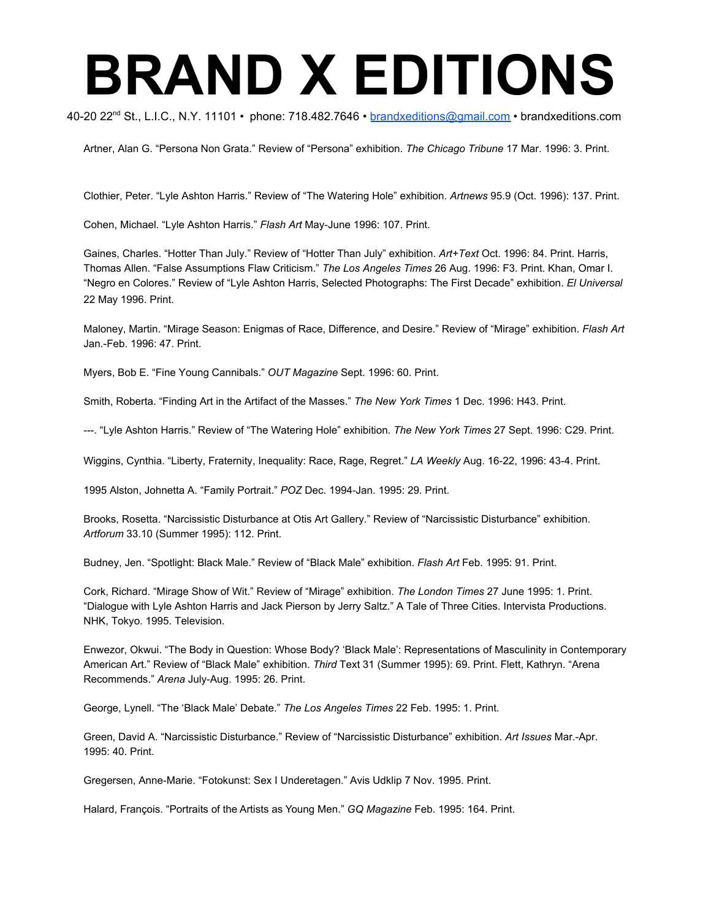40-20 22<sup>nd</sup> St., L.I.C., N.Y. 11101 • phone: 718.482.7646 • <u>[brandxeditions@gmail.com](mailto:brandxeditions@gmail.com)</u> • brandxeditions.com

Artner, Alan G. "Persona Non Grata." Review of "Persona" exhibition. *The Chicago Tribune* 17 Mar. 1996: 3. Print.

Clothier, Peter. "Lyle Ashton Harris." Review of "The Watering Hole" exhibition. *Artnews* 95.9 (Oct. 1996): 137. Print.

Cohen, Michael. "Lyle Ashton Harris." *Flash Art* May-June 1996: 107. Print.

Gaines, Charles. "Hotter Than July." Review of "Hotter Than July" exhibition. *Art+Text* Oct. 1996: 84. Print. Harris, Thomas Allen. "False Assumptions Flaw Criticism." *The Los Angeles Times* 26 Aug. 1996: F3. Print. Khan, Omar I. "Negro en Colores." Review of "Lyle Ashton Harris, Selected Photographs: The First Decade" exhibition. *El Universal* 22 May 1996. Print.

Maloney, Martin. "Mirage Season: Enigmas of Race, Difference, and Desire." Review of "Mirage" exhibition. *Flash Art* Jan.-Feb. 1996: 47. Print.

Myers, Bob E. "Fine Young Cannibals." *OUT Magazine* Sept. 1996: 60. Print.

Smith, Roberta. "Finding Art in the Artifact of the Masses." *The New York Times* 1 Dec. 1996: H43. Print.

---. "Lyle Ashton Harris." Review of "The Watering Hole" exhibition. *The New York Times* 27 Sept. 1996: C29. Print.

Wiggins, Cynthia. "Liberty, Fraternity, Inequality: Race, Rage, Regret." *LA Weekly* Aug. 16-22, 1996: 43-4. Print.

1995 Alston, Johnetta A. "Family Portrait." *POZ* Dec. 1994-Jan. 1995: 29. Print.

Brooks, Rosetta. "Narcissistic Disturbance at Otis Art Gallery." Review of "Narcissistic Disturbance" exhibition. *Artforum* 33.10 (Summer 1995): 112. Print.

Budney, Jen. "Spotlight: Black Male." Review of "Black Male" exhibition. *Flash Art* Feb. 1995: 91. Print.

Cork, Richard. "Mirage Show of Wit." Review of "Mirage" exhibition. *The London Times* 27 June 1995: 1. Print. "Dialogue with Lyle Ashton Harris and Jack Pierson by Jerry Saltz." A Tale of Three Cities. Intervista Productions. NHK, Tokyo. 1995. Television.

Enwezor, Okwui. "The Body in Question: Whose Body? 'Black Male': Representations of Masculinity in Contemporary American Art." Review of "Black Male" exhibition. *Third* Text 31 (Summer 1995): 69. Print. Flett, Kathryn. "Arena Recommends." *Arena* July-Aug. 1995: 26. Print.

George, Lynell. "The 'Black Male' Debate." *The Los Angeles Times* 22 Feb. 1995: 1. Print.

Green, David A. "Narcissistic Disturbance." Review of "Narcissistic Disturbance" exhibition. *Art Issues* Mar.-Apr. 1995: 40. Print.

Gregersen, Anne-Marie. "Fotokunst: Sex I Underetagen." Avis Udklip 7 Nov. 1995. Print.

Halard, François. "Portraits of the Artists as Young Men." *GQ Magazine* Feb. 1995: 164. Print.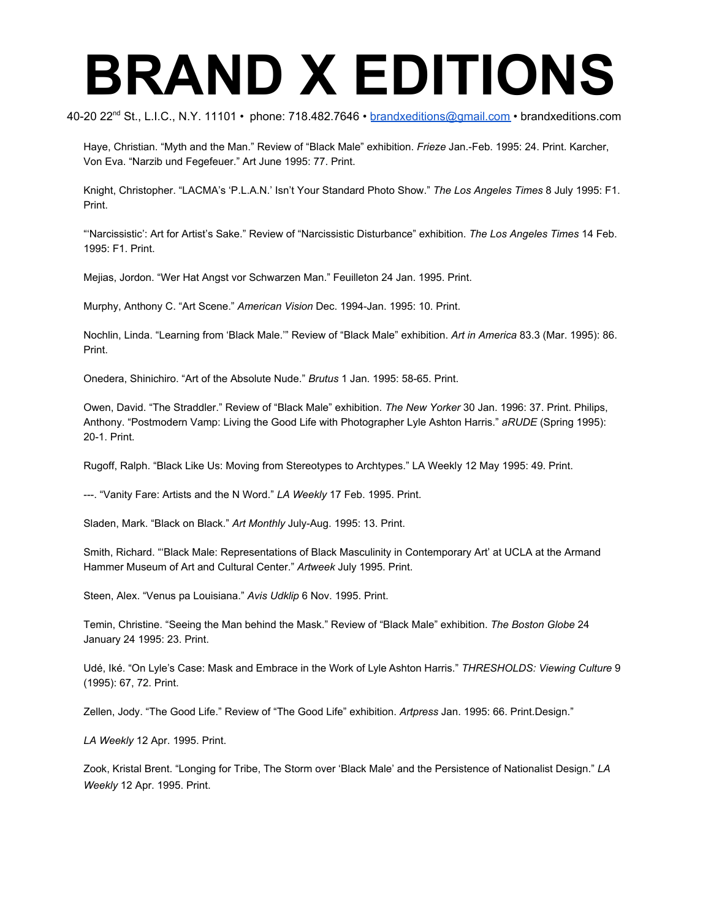40-20 22<sup>nd</sup> St., L.I.C., N.Y. 11101 • phone: 718.482.7646 • <u>[brandxeditions@gmail.com](mailto:brandxeditions@gmail.com)</u> • brandxeditions.com

Haye, Christian. "Myth and the Man." Review of "Black Male" exhibition. *Frieze* Jan.-Feb. 1995: 24. Print. Karcher, Von Eva. "Narzib und Fegefeuer." Art June 1995: 77. Print.

Knight, Christopher. "LACMA's 'P.L.A.N.' Isn't Your Standard Photo Show." *The Los Angeles Times* 8 July 1995: F1. Print.

"'Narcissistic': Art for Artist's Sake." Review of "Narcissistic Disturbance" exhibition. *The Los Angeles Times* 14 Feb. 1995: F1. Print.

Mejias, Jordon. "Wer Hat Angst vor Schwarzen Man." Feuilleton 24 Jan. 1995. Print.

Murphy, Anthony C. "Art Scene." *American Vision* Dec. 1994-Jan. 1995: 10. Print.

Nochlin, Linda. "Learning from 'Black Male.'" Review of "Black Male" exhibition. *Art in America* 83.3 (Mar. 1995): 86. Print.

Onedera, Shinichiro. "Art of the Absolute Nude." *Brutus* 1 Jan. 1995: 58-65. Print.

Owen, David. "The Straddler." Review of "Black Male" exhibition. *The New Yorker* 30 Jan. 1996: 37. Print. Philips, Anthony. "Postmodern Vamp: Living the Good Life with Photographer Lyle Ashton Harris." *aRUDE* (Spring 1995): 20-1. Print.

Rugoff, Ralph. "Black Like Us: Moving from Stereotypes to Archtypes." LA Weekly 12 May 1995: 49. Print.

---. "Vanity Fare: Artists and the N Word." *LA Weekly* 17 Feb. 1995. Print.

Sladen, Mark. "Black on Black." *Art Monthly* July-Aug. 1995: 13. Print.

Smith, Richard. "'Black Male: Representations of Black Masculinity in Contemporary Art' at UCLA at the Armand Hammer Museum of Art and Cultural Center." *Artweek* July 1995. Print.

Steen, Alex. "Venus pa Louisiana." *Avis Udklip* 6 Nov. 1995. Print.

Temin, Christine. "Seeing the Man behind the Mask." Review of "Black Male" exhibition. *The Boston Globe* 24 January 24 1995: 23. Print.

Udé, Iké. "On Lyle's Case: Mask and Embrace in the Work of Lyle Ashton Harris." *THRESHOLDS: Viewing Culture* 9 (1995): 67, 72. Print.

Zellen, Jody. "The Good Life." Review of "The Good Life" exhibition. *Artpress* Jan. 1995: 66. Print.Design."

*LA Weekly* 12 Apr. 1995. Print.

Zook, Kristal Brent. "Longing for Tribe, The Storm over 'Black Male' and the Persistence of Nationalist Design." *LA Weekly* 12 Apr. 1995. Print.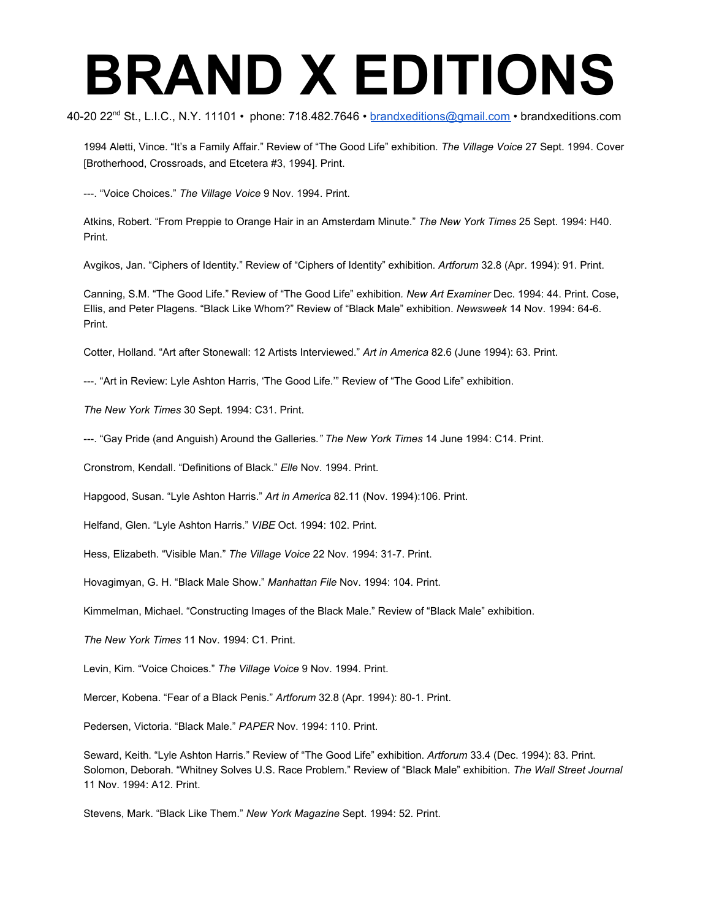40-20 22<sup>nd</sup> St., L.I.C., N.Y. 11101 • phone: 718.482.7646 • <u>[brandxeditions@gmail.com](mailto:brandxeditions@gmail.com)</u> • brandxeditions.com

1994 Aletti, Vince. "It's a Family Affair." Review of "The Good Life" exhibition*. The Village Voice* 27 Sept. 1994. Cover [Brotherhood, Crossroads, and Etcetera #3, 1994]. Print.

---. "Voice Choices." *The Village Voice* 9 Nov. 1994. Print.

Atkins, Robert. "From Preppie to Orange Hair in an Amsterdam Minute." *The New York Times* 25 Sept. 1994: H40. Print.

Avgikos, Jan. "Ciphers of Identity." Review of "Ciphers of Identity" exhibition. *Artforum* 32.8 (Apr. 1994): 91. Print.

Canning, S.M. "The Good Life." Review of "The Good Life" exhibition*. New Art Examiner* Dec. 1994: 44. Print. Cose, Ellis, and Peter Plagens. "Black Like Whom?" Review of "Black Male" exhibition. *Newsweek* 14 Nov. 1994: 64-6. Print.

Cotter, Holland. "Art after Stonewall: 12 Artists Interviewed." *Art in America* 82.6 (June 1994): 63. Print.

---. "Art in Review: Lyle Ashton Harris, 'The Good Life.'" Review of "The Good Life" exhibition.

*The New York Times* 30 Sept. 1994: C31. Print.

---. "Gay Pride (and Anguish) Around the Galleries*." The New York Times* 14 June 1994: C14. Print.

Cronstrom, Kendall. "Definitions of Black." *Elle* Nov. 1994. Print.

Hapgood, Susan. "Lyle Ashton Harris." *Art in America* 82.11 (Nov. 1994):106. Print.

Helfand, Glen. "Lyle Ashton Harris." *VIBE* Oct. 1994: 102. Print.

Hess, Elizabeth. "Visible Man." *The Village Voice* 22 Nov. 1994: 31-7. Print.

Hovagimyan, G. H. "Black Male Show." *Manhattan File* Nov. 1994: 104. Print.

Kimmelman, Michael. "Constructing Images of the Black Male." Review of "Black Male" exhibition.

*The New York Times* 11 Nov. 1994: C1. Print.

Levin, Kim. "Voice Choices." *The Village Voice* 9 Nov. 1994. Print.

Mercer, Kobena. "Fear of a Black Penis." *Artforum* 32.8 (Apr. 1994): 80-1. Print.

Pedersen, Victoria. "Black Male." *PAPER* Nov. 1994: 110. Print.

Seward, Keith. "Lyle Ashton Harris." Review of "The Good Life" exhibition. *Artforum* 33.4 (Dec. 1994): 83. Print. Solomon, Deborah. "Whitney Solves U.S. Race Problem." Review of "Black Male" exhibition. *The Wall Street Journal* 11 Nov. 1994: A12. Print.

Stevens, Mark. "Black Like Them." *New York Magazine* Sept. 1994: 52. Print.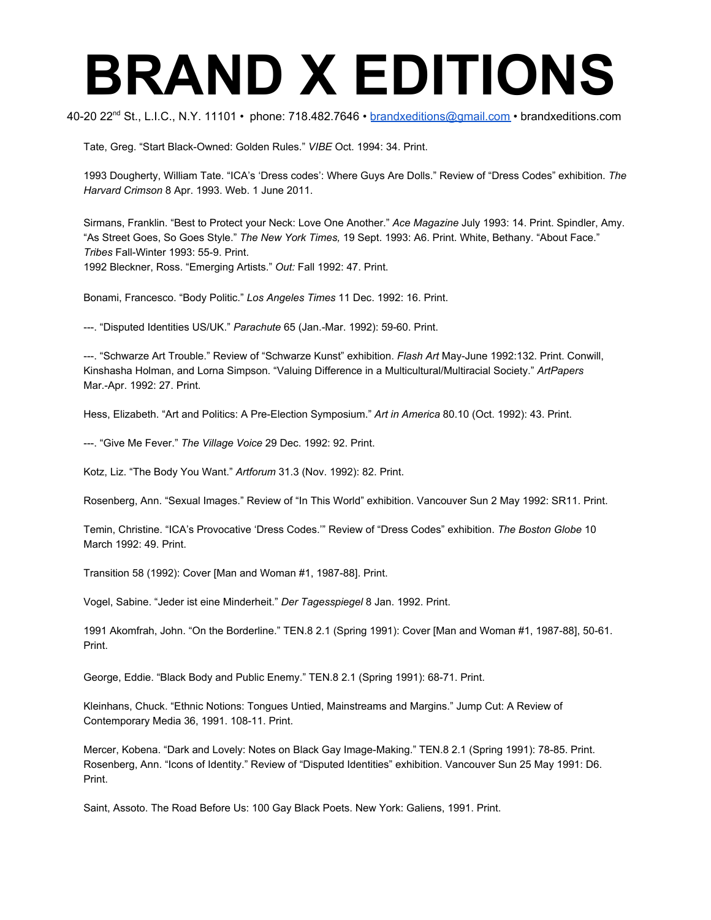40-20 22<sup>nd</sup> St., L.I.C., N.Y. 11101 • phone: 718.482.7646 • <u>[brandxeditions@gmail.com](mailto:brandxeditions@gmail.com)</u> • brandxeditions.com

Tate, Greg. "Start Black-Owned: Golden Rules." *VIBE* Oct. 1994: 34. Print.

1993 Dougherty, William Tate. "ICA's 'Dress codes': Where Guys Are Dolls." Review of "Dress Codes" exhibition. *The Harvard Crimson* 8 Apr. 1993. Web. 1 June 2011.

Sirmans, Franklin. "Best to Protect your Neck: Love One Another." *Ace Magazine* July 1993: 14. Print. Spindler, Amy. "As Street Goes, So Goes Style." *The New York Times,* 19 Sept. 1993: A6. Print. White, Bethany. "About Face." *Tribes* Fall-Winter 1993: 55-9. Print. 1992 Bleckner, Ross. "Emerging Artists." *Out:* Fall 1992: 47. Print.

Bonami, Francesco. "Body Politic." *Los Angeles Times* 11 Dec. 1992: 16. Print.

---. "Disputed Identities US/UK." *Parachute* 65 (Jan.-Mar. 1992): 59-60. Print.

---. "Schwarze Art Trouble." Review of "Schwarze Kunst" exhibition. *Flash Art* May-June 1992:132. Print. Conwill, Kinshasha Holman, and Lorna Simpson. "Valuing Difference in a Multicultural/Multiracial Society." *ArtPapers* Mar.-Apr. 1992: 27. Print.

Hess, Elizabeth. "Art and Politics: A Pre-Election Symposium." *Art in America* 80.10 (Oct. 1992): 43. Print.

---. "Give Me Fever." *The Village Voice* 29 Dec. 1992: 92. Print.

Kotz, Liz. "The Body You Want." *Artforum* 31.3 (Nov. 1992): 82. Print.

Rosenberg, Ann. "Sexual Images." Review of "In This World" exhibition. Vancouver Sun 2 May 1992: SR11. Print.

Temin, Christine. "ICA's Provocative 'Dress Codes.'" Review of "Dress Codes" exhibition. *The Boston Globe* 10 March 1992: 49. Print.

Transition 58 (1992): Cover [Man and Woman #1, 1987-88]. Print.

Vogel, Sabine. "Jeder ist eine Minderheit." *Der Tagesspiegel* 8 Jan. 1992. Print.

1991 Akomfrah, John. "On the Borderline." TEN.8 2.1 (Spring 1991): Cover [Man and Woman #1, 1987-88], 50-61. Print.

George, Eddie. "Black Body and Public Enemy." TEN.8 2.1 (Spring 1991): 68-71. Print.

Kleinhans, Chuck. "Ethnic Notions: Tongues Untied, Mainstreams and Margins." Jump Cut: A Review of Contemporary Media 36, 1991. 108-11. Print.

Mercer, Kobena. "Dark and Lovely: Notes on Black Gay Image-Making." TEN.8 2.1 (Spring 1991): 78-85. Print. Rosenberg, Ann. "Icons of Identity." Review of "Disputed Identities" exhibition. Vancouver Sun 25 May 1991: D6. Print.

Saint, Assoto. The Road Before Us: 100 Gay Black Poets. New York: Galiens, 1991. Print.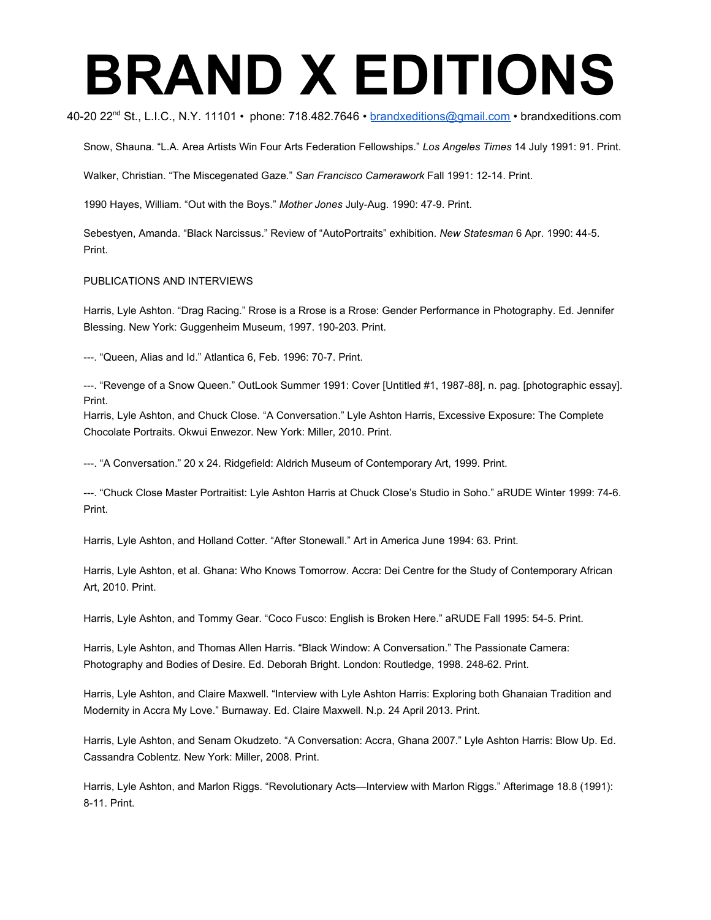#### 40-20 22<sup>nd</sup> St., L.I.C., N.Y. 11101 • phone: 718.482.7646 • <u>[brandxeditions@gmail.com](mailto:brandxeditions@gmail.com)</u> • brandxeditions.com

Snow, Shauna. "L.A. Area Artists Win Four Arts Federation Fellowships." *Los Angeles Times* 14 July 1991: 91. Print.

Walker, Christian. "The Miscegenated Gaze." *San Francisco Camerawork* Fall 1991: 12-14. Print.

1990 Hayes, William. "Out with the Boys." *Mother Jones* July-Aug. 1990: 47-9. Print.

Sebestyen, Amanda. "Black Narcissus." Review of "AutoPortraits" exhibition. *New Statesman* 6 Apr. 1990: 44-5. Print.

#### PUBLICATIONS AND INTERVIEWS

Harris, Lyle Ashton. "Drag Racing." Rrose is a Rrose is a Rrose: Gender Performance in Photography. Ed. Jennifer Blessing. New York: Guggenheim Museum, 1997. 190-203. Print.

---. "Queen, Alias and Id." Atlantica 6, Feb. 1996: 70-7. Print.

---. "Revenge of a Snow Queen." OutLook Summer 1991: Cover [Untitled #1, 1987-88], n. pag. [photographic essay]. Print.

Harris, Lyle Ashton, and Chuck Close. "A Conversation." Lyle Ashton Harris, Excessive Exposure: The Complete Chocolate Portraits. Okwui Enwezor. New York: Miller, 2010. Print.

---. "A Conversation." 20 x 24. Ridgefield: Aldrich Museum of Contemporary Art, 1999. Print.

---. "Chuck Close Master Portraitist: Lyle Ashton Harris at Chuck Close's Studio in Soho." aRUDE Winter 1999: 74-6. Print.

Harris, Lyle Ashton, and Holland Cotter. "After Stonewall." Art in America June 1994: 63. Print.

Harris, Lyle Ashton, et al. Ghana: Who Knows Tomorrow. Accra: Dei Centre for the Study of Contemporary African Art, 2010. Print.

Harris, Lyle Ashton, and Tommy Gear. "Coco Fusco: English is Broken Here." aRUDE Fall 1995: 54-5. Print.

Harris, Lyle Ashton, and Thomas Allen Harris. "Black Window: A Conversation." The Passionate Camera: Photography and Bodies of Desire. Ed. Deborah Bright. London: Routledge, 1998. 248-62. Print.

Harris, Lyle Ashton, and Claire Maxwell. "Interview with Lyle Ashton Harris: Exploring both Ghanaian Tradition and Modernity in Accra My Love." Burnaway. Ed. Claire Maxwell. N.p. 24 April 2013. Print.

Harris, Lyle Ashton, and Senam Okudzeto. "A Conversation: Accra, Ghana 2007." Lyle Ashton Harris: Blow Up. Ed. Cassandra Coblentz. New York: Miller, 2008. Print.

Harris, Lyle Ashton, and Marlon Riggs. "Revolutionary Acts—Interview with Marlon Riggs." Afterimage 18.8 (1991): 8-11. Print.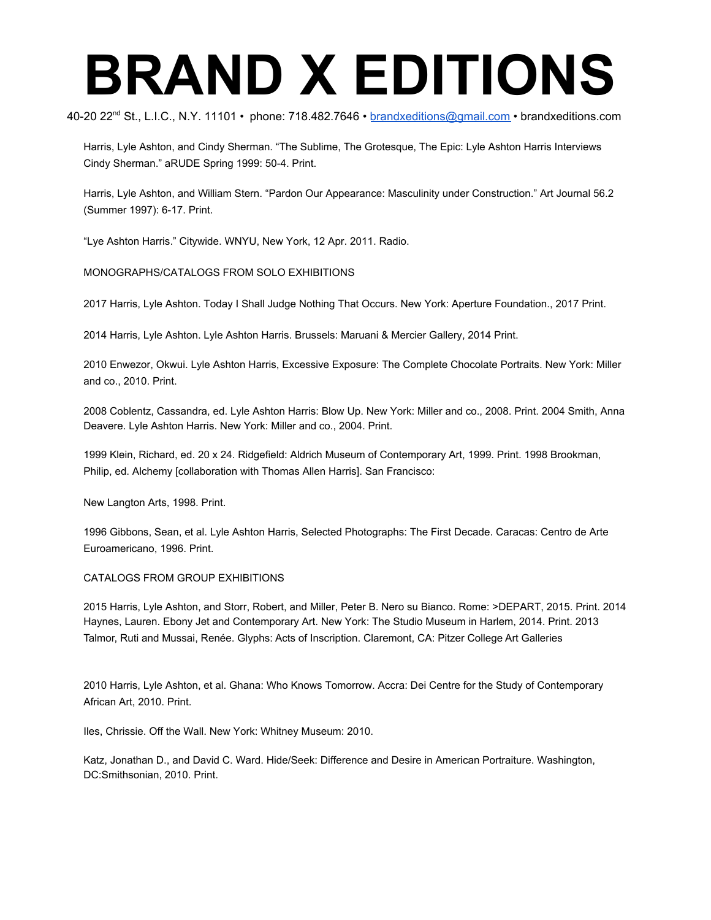40-20 22<sup>nd</sup> St., L.I.C., N.Y. 11101 • phone: 718.482.7646 • <u>[brandxeditions@gmail.com](mailto:brandxeditions@gmail.com)</u> • brandxeditions.com

Harris, Lyle Ashton, and Cindy Sherman. "The Sublime, The Grotesque, The Epic: Lyle Ashton Harris Interviews Cindy Sherman." aRUDE Spring 1999: 50-4. Print.

Harris, Lyle Ashton, and William Stern. "Pardon Our Appearance: Masculinity under Construction." Art Journal 56.2 (Summer 1997): 6-17. Print.

"Lye Ashton Harris." Citywide. WNYU, New York, 12 Apr. 2011. Radio.

#### MONOGRAPHS/CATALOGS FROM SOLO EXHIBITIONS

2017 Harris, Lyle Ashton. Today I Shall Judge Nothing That Occurs. New York: Aperture Foundation., 2017 Print.

2014 Harris, Lyle Ashton. Lyle Ashton Harris. Brussels: Maruani & Mercier Gallery, 2014 Print.

2010 Enwezor, Okwui. Lyle Ashton Harris, Excessive Exposure: The Complete Chocolate Portraits. New York: Miller and co., 2010. Print.

2008 Coblentz, Cassandra, ed. Lyle Ashton Harris: Blow Up. New York: Miller and co., 2008. Print. 2004 Smith, Anna Deavere. Lyle Ashton Harris. New York: Miller and co., 2004. Print.

1999 Klein, Richard, ed. 20 x 24. Ridgefield: Aldrich Museum of Contemporary Art, 1999. Print. 1998 Brookman, Philip, ed. Alchemy [collaboration with Thomas Allen Harris]. San Francisco:

New Langton Arts, 1998. Print.

1996 Gibbons, Sean, et al. Lyle Ashton Harris, Selected Photographs: The First Decade. Caracas: Centro de Arte Euroamericano, 1996. Print.

#### CATALOGS FROM GROUP EXHIBITIONS

2015 Harris, Lyle Ashton, and Storr, Robert, and Miller, Peter B. Nero su Bianco. Rome: >DEPART, 2015. Print. 2014 Haynes, Lauren. Ebony Jet and Contemporary Art. New York: The Studio Museum in Harlem, 2014. Print. 2013 Talmor, Ruti and Mussai, Renée. Glyphs: Acts of Inscription. Claremont, CA: Pitzer College Art Galleries

2010 Harris, Lyle Ashton, et al. Ghana: Who Knows Tomorrow. Accra: Dei Centre for the Study of Contemporary African Art, 2010. Print.

Iles, Chrissie. Off the Wall. New York: Whitney Museum: 2010.

Katz, Jonathan D., and David C. Ward. Hide/Seek: Difference and Desire in American Portraiture. Washington, DC:Smithsonian, 2010. Print.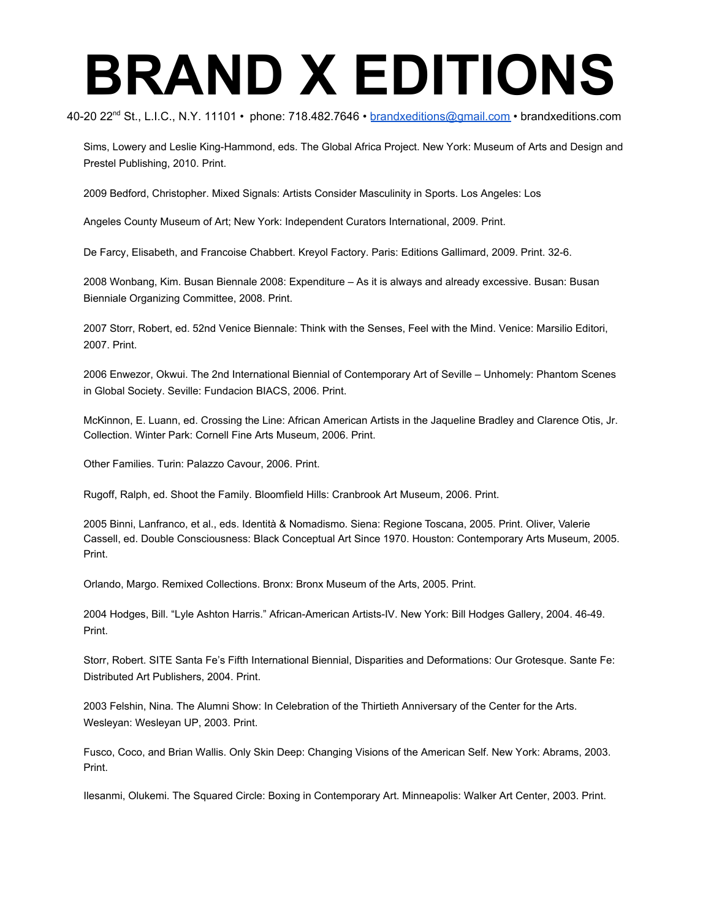40-20 22<sup>nd</sup> St., L.I.C., N.Y. 11101 • phone: 718.482.7646 • <u>[brandxeditions@gmail.com](mailto:brandxeditions@gmail.com)</u> • brandxeditions.com

Sims, Lowery and Leslie King-Hammond, eds. The Global Africa Project. New York: Museum of Arts and Design and Prestel Publishing, 2010. Print.

2009 Bedford, Christopher. Mixed Signals: Artists Consider Masculinity in Sports. Los Angeles: Los

Angeles County Museum of Art; New York: Independent Curators International, 2009. Print.

De Farcy, Elisabeth, and Francoise Chabbert. Kreyol Factory. Paris: Editions Gallimard, 2009. Print. 32-6.

2008 Wonbang, Kim. Busan Biennale 2008: Expenditure – As it is always and already excessive. Busan: Busan Bienniale Organizing Committee, 2008. Print.

2007 Storr, Robert, ed. 52nd Venice Biennale: Think with the Senses, Feel with the Mind. Venice: Marsilio Editori, 2007. Print.

2006 Enwezor, Okwui. The 2nd International Biennial of Contemporary Art of Seville – Unhomely: Phantom Scenes in Global Society. Seville: Fundacion BIACS, 2006. Print.

McKinnon, E. Luann, ed. Crossing the Line: African American Artists in the Jaqueline Bradley and Clarence Otis, Jr. Collection. Winter Park: Cornell Fine Arts Museum, 2006. Print.

Other Families. Turin: Palazzo Cavour, 2006. Print.

Rugoff, Ralph, ed. Shoot the Family. Bloomfield Hills: Cranbrook Art Museum, 2006. Print.

2005 Binni, Lanfranco, et al., eds. Identità & Nomadismo. Siena: Regione Toscana, 2005. Print. Oliver, Valerie Cassell, ed. Double Consciousness: Black Conceptual Art Since 1970. Houston: Contemporary Arts Museum, 2005. Print.

Orlando, Margo. Remixed Collections. Bronx: Bronx Museum of the Arts, 2005. Print.

2004 Hodges, Bill. "Lyle Ashton Harris." African-American Artists-IV. New York: Bill Hodges Gallery, 2004. 46-49. Print.

Storr, Robert. SITE Santa Fe's Fifth International Biennial, Disparities and Deformations: Our Grotesque. Sante Fe: Distributed Art Publishers, 2004. Print.

2003 Felshin, Nina. The Alumni Show: In Celebration of the Thirtieth Anniversary of the Center for the Arts. Wesleyan: Wesleyan UP, 2003. Print.

Fusco, Coco, and Brian Wallis. Only Skin Deep: Changing Visions of the American Self. New York: Abrams, 2003. Print.

Ilesanmi, Olukemi. The Squared Circle: Boxing in Contemporary Art. Minneapolis: Walker Art Center, 2003. Print.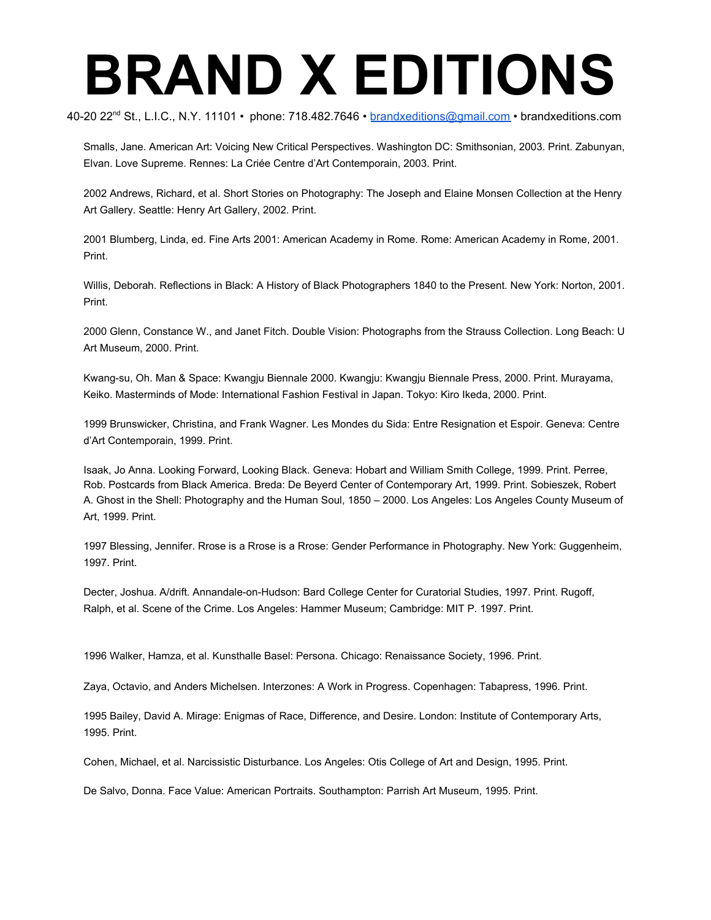40-20 22<sup>nd</sup> St., L.I.C., N.Y. 11101 • phone: 718.482.7646 • <u>[brandxeditions@gmail.com](mailto:brandxeditions@gmail.com)</u> • brandxeditions.com

Smalls, Jane. American Art: Voicing New Critical Perspectives. Washington DC: Smithsonian, 2003. Print. Zabunyan, Elvan. Love Supreme. Rennes: La Criée Centre d'Art Contemporain, 2003. Print.

2002 Andrews, Richard, et al. Short Stories on Photography: The Joseph and Elaine Monsen Collection at the Henry Art Gallery. Seattle: Henry Art Gallery, 2002. Print.

2001 Blumberg, Linda, ed. Fine Arts 2001: American Academy in Rome. Rome: American Academy in Rome, 2001. Print.

Willis, Deborah. Reflections in Black: A History of Black Photographers 1840 to the Present. New York: Norton, 2001. Print.

2000 Glenn, Constance W., and Janet Fitch. Double Vision: Photographs from the Strauss Collection. Long Beach: U Art Museum, 2000. Print.

Kwang-su, Oh. Man & Space: Kwangju Biennale 2000. Kwangju: Kwangju Biennale Press, 2000. Print. Murayama, Keiko. Masterminds of Mode: International Fashion Festival in Japan. Tokyo: Kiro Ikeda, 2000. Print.

1999 Brunswicker, Christina, and Frank Wagner. Les Mondes du Sida: Entre Resignation et Espoir. Geneva: Centre d'Art Contemporain, 1999. Print.

Isaak, Jo Anna. Looking Forward, Looking Black. Geneva: Hobart and William Smith College, 1999. Print. Perree, Rob. Postcards from Black America. Breda: De Beyerd Center of Contemporary Art, 1999. Print. Sobieszek, Robert A. Ghost in the Shell: Photography and the Human Soul, 1850 – 2000. Los Angeles: Los Angeles County Museum of Art, 1999. Print.

1997 Blessing, Jennifer. Rrose is a Rrose is a Rrose: Gender Performance in Photography. New York: Guggenheim, 1997. Print.

Decter, Joshua. A/drift. Annandale-on-Hudson: Bard College Center for Curatorial Studies, 1997. Print. Rugoff, Ralph, et al. Scene of the Crime. Los Angeles: Hammer Museum; Cambridge: MIT P. 1997. Print.

1996 Walker, Hamza, et al. Kunsthalle Basel: Persona. Chicago: Renaissance Society, 1996. Print.

Zaya, Octavio, and Anders Michelsen. Interzones: A Work in Progress. Copenhagen: Tabapress, 1996. Print.

1995 Bailey, David A. Mirage: Enigmas of Race, Difference, and Desire. London: Institute of Contemporary Arts, 1995. Print.

Cohen, Michael, et al. Narcissistic Disturbance. Los Angeles: Otis College of Art and Design, 1995. Print.

De Salvo, Donna. Face Value: American Portraits. Southampton: Parrish Art Museum, 1995. Print.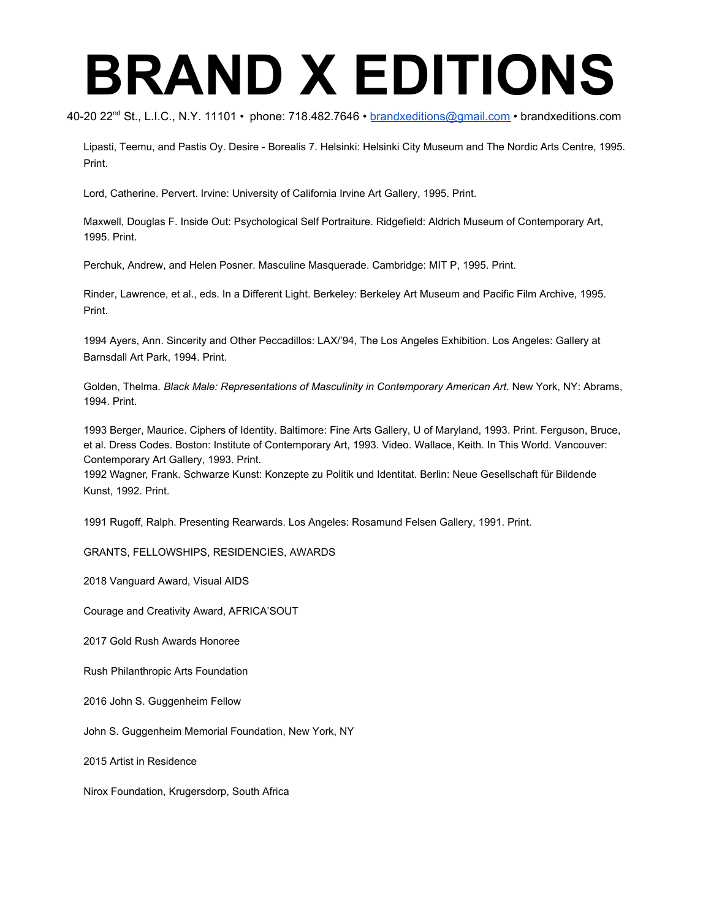40-20 22<sup>nd</sup> St., L.I.C., N.Y. 11101 • phone: 718.482.7646 • <u>[brandxeditions@gmail.com](mailto:brandxeditions@gmail.com)</u> • brandxeditions.com

Lipasti, Teemu, and Pastis Oy. Desire - Borealis 7. Helsinki: Helsinki City Museum and The Nordic Arts Centre, 1995. Print.

Lord, Catherine. Pervert. Irvine: University of California Irvine Art Gallery, 1995. Print.

Maxwell, Douglas F. Inside Out: Psychological Self Portraiture. Ridgefield: Aldrich Museum of Contemporary Art, 1995. Print.

Perchuk, Andrew, and Helen Posner. Masculine Masquerade. Cambridge: MIT P, 1995. Print.

Rinder, Lawrence, et al., eds. In a Different Light. Berkeley: Berkeley Art Museum and Pacific Film Archive, 1995. Print.

1994 Ayers, Ann. Sincerity and Other Peccadillos: LAX/'94, The Los Angeles Exhibition. Los Angeles: Gallery at Barnsdall Art Park, 1994. Print.

Golden, Thelma*. Black Male: Representations of Masculinity in Contemporary American Art*. New York, NY: Abrams, 1994. Print.

1993 Berger, Maurice. Ciphers of Identity. Baltimore: Fine Arts Gallery, U of Maryland, 1993. Print. Ferguson, Bruce, et al. Dress Codes. Boston: Institute of Contemporary Art, 1993. Video. Wallace, Keith. In This World. Vancouver: Contemporary Art Gallery, 1993. Print.

1992 Wagner, Frank. Schwarze Kunst: Konzepte zu Politik und Identitat. Berlin: Neue Gesellschaft für Bildende Kunst, 1992. Print.

1991 Rugoff, Ralph. Presenting Rearwards. Los Angeles: Rosamund Felsen Gallery, 1991. Print.

GRANTS, FELLOWSHIPS, RESIDENCIES, AWARDS

2018 Vanguard Award, Visual AIDS

Courage and Creativity Award, AFRICA'SOUT

2017 Gold Rush Awards Honoree

Rush Philanthropic Arts Foundation

2016 John S. Guggenheim Fellow

John S. Guggenheim Memorial Foundation, New York, NY

2015 Artist in Residence

Nirox Foundation, Krugersdorp, South Africa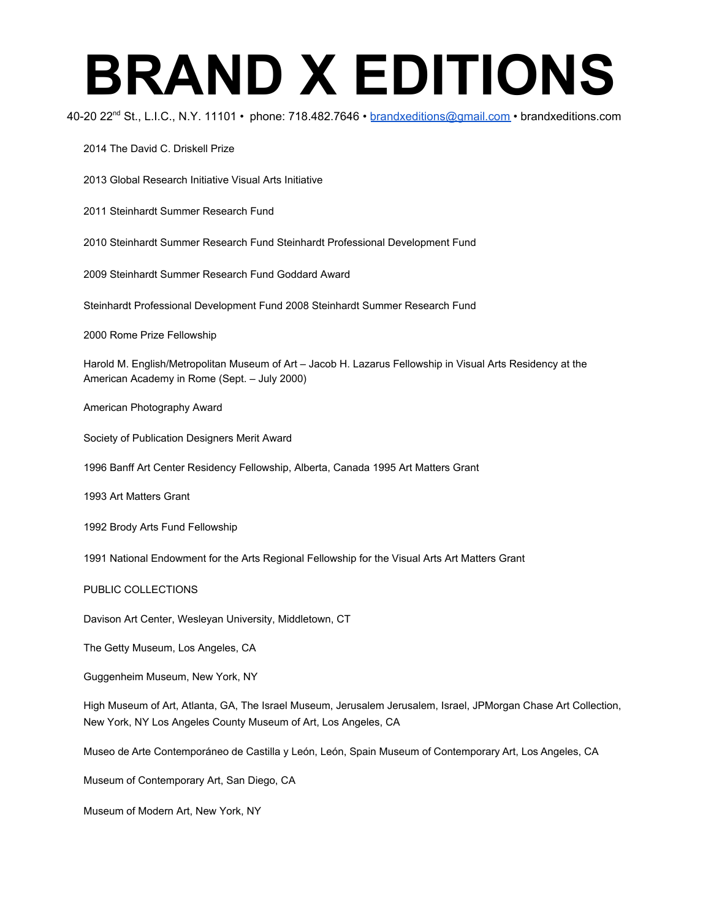40-20 22<sup>nd</sup> St., L.I.C., N.Y. 11101 • phone: 718.482.7646 • <u>[brandxeditions@gmail.com](mailto:brandxeditions@gmail.com)</u> • brandxeditions.com

2014 The David C. Driskell Prize

2013 Global Research Initiative Visual Arts Initiative

2011 Steinhardt Summer Research Fund

2010 Steinhardt Summer Research Fund Steinhardt Professional Development Fund

2009 Steinhardt Summer Research Fund Goddard Award

Steinhardt Professional Development Fund 2008 Steinhardt Summer Research Fund

2000 Rome Prize Fellowship

Harold M. English/Metropolitan Museum of Art – Jacob H. Lazarus Fellowship in Visual Arts Residency at the American Academy in Rome (Sept. – July 2000)

American Photography Award

Society of Publication Designers Merit Award

1996 Banff Art Center Residency Fellowship, Alberta, Canada 1995 Art Matters Grant

1993 Art Matters Grant

1992 Brody Arts Fund Fellowship

1991 National Endowment for the Arts Regional Fellowship for the Visual Arts Art Matters Grant

PUBLIC COLLECTIONS

Davison Art Center, Wesleyan University, Middletown, CT

The Getty Museum, Los Angeles, CA

Guggenheim Museum, New York, NY

High Museum of Art, Atlanta, GA, The Israel Museum, Jerusalem Jerusalem, Israel, JPMorgan Chase Art Collection, New York, NY Los Angeles County Museum of Art, Los Angeles, CA

Museo de Arte Contemporáneo de Castilla y León, León, Spain Museum of Contemporary Art, Los Angeles, CA

Museum of Contemporary Art, San Diego, CA

Museum of Modern Art, New York, NY